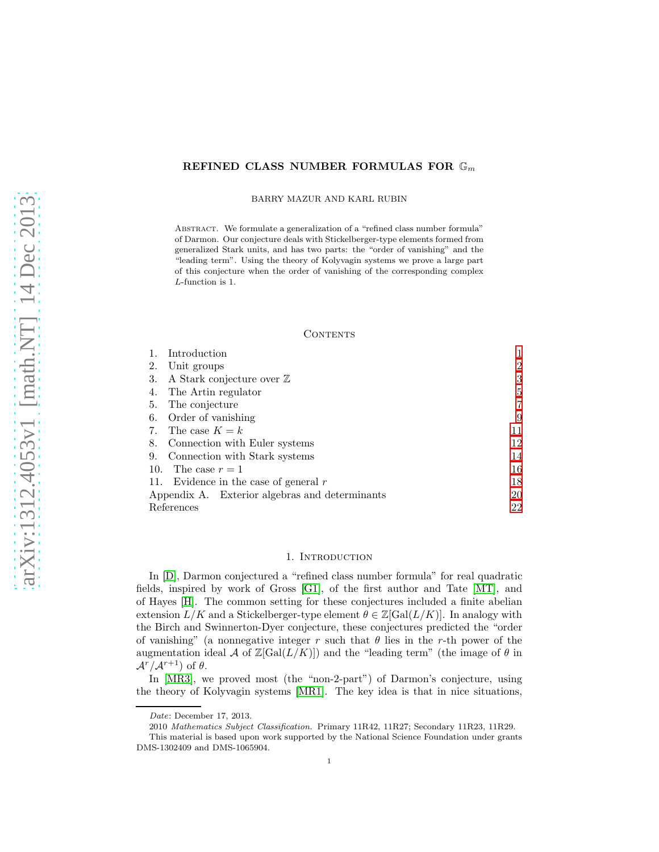# REFINED CLASS NUMBER FORMULAS FOR  $\mathbb{G}_m$

BARRY MAZUR AND KARL RUBIN

Abstract. We formulate a generalization of a "refined class number formula" of Darmon. Our conjecture deals with Stickelberger-type elements formed from generalized Stark units, and has two parts: the "order of vanishing" and the "leading term". Using the theory of Kolyvagin systems we prove a large part of this conjecture when the order of vanishing of the corresponding complex L-function is 1.

#### **CONTENTS**

| Introduction                                   |                |
|------------------------------------------------|----------------|
| 2.<br>Unit groups                              | $\overline{2}$ |
| A Stark conjecture over $\mathbb Z$<br>3.      | 3              |
| The Artin regulator<br>4.                      | 5              |
| The conjecture<br>5.                           | 7              |
| 6. Order of vanishing                          | 9              |
| The case $K = k$<br>7.                         | 11             |
| Connection with Euler systems<br>8.            | 12             |
| Connection with Stark systems<br>9.            | 14             |
| The case $r=1$<br>10.                          | 16             |
| 11. Evidence in the case of general $r$        | 18             |
| Appendix A. Exterior algebras and determinants | 20             |
| References                                     | 22             |

## 1. INTRODUCTION

<span id="page-0-0"></span>In [\[D\]](#page-21-1), Darmon conjectured a "refined class number formula" for real quadratic fields, inspired by work of Gross [\[G1\]](#page-21-2), of the first author and Tate [\[MT\]](#page-21-3), and of Hayes [\[H\]](#page-21-4). The common setting for these conjectures included a finite abelian extension  $L/K$  and a Stickelberger-type element  $\theta \in \mathbb{Z}[\text{Gal}(L/K)]$ . In analogy with the Birch and Swinnerton-Dyer conjecture, these conjectures predicted the "order of vanishing" (a nonnegative integer r such that  $\theta$  lies in the r-th power of the augmentation ideal A of  $\mathbb{Z}[\text{Gal}(L/K)]$  and the "leading term" (the image of  $\theta$  in  $A^r/A^{r+1}$ ) of  $\theta$ .

In [\[MR3\]](#page-21-5), we proved most (the "non-2-part") of Darmon's conjecture, using the theory of Kolyvagin systems [\[MR1\]](#page-21-6). The key idea is that in nice situations,

Date: December 17, 2013.

<sup>2010</sup> Mathematics Subject Classification. Primary 11R42, 11R27; Secondary 11R23, 11R29. This material is based upon work supported by the National Science Foundation under grants DMS-1302409 and DMS-1065904.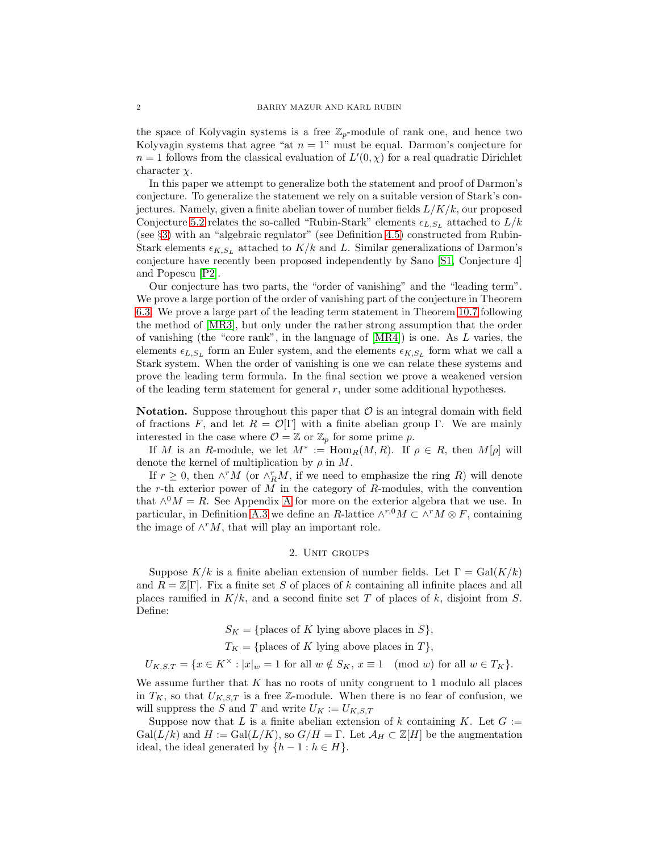the space of Kolyvagin systems is a free  $\mathbb{Z}_p$ -module of rank one, and hence two Kolyvagin systems that agree "at  $n = 1$ " must be equal. Darmon's conjecture for  $n = 1$  follows from the classical evaluation of  $L'(0, \chi)$  for a real quadratic Dirichlet character  $\chi$ .

In this paper we attempt to generalize both the statement and proof of Darmon's conjecture. To generalize the statement we rely on a suitable version of Stark's conjectures. Namely, given a finite abelian tower of number fields  $L/K/k$ , our proposed Conjecture [5.2](#page-6-1) relates the so-called "Rubin-Stark" elements  $\epsilon_{L,S_L}$  attached to  $L/k$ (see §[3\)](#page-2-0) with an "algebraic regulator" (see Definition [4.5\)](#page-5-0) constructed from Rubin-Stark elements  $\epsilon_{K,S_L}$  attached to  $K/k$  and L. Similar generalizations of Darmon's conjecture have recently been proposed independently by Sano [\[S1,](#page-21-7) Conjecture 4] and Popescu [\[P2\]](#page-21-8).

Our conjecture has two parts, the "order of vanishing" and the "leading term". We prove a large portion of the order of vanishing part of the conjecture in Theorem [6.3.](#page-9-0) We prove a large part of the leading term statement in Theorem [10.7](#page-17-1) following the method of [\[MR3\]](#page-21-5), but only under the rather strong assumption that the order of vanishing (the "core rank", in the language of  $[MR4]$ ) is one. As L varies, the elements  $\epsilon_{L,S_L}$  form an Euler system, and the elements  $\epsilon_{K,S_L}$  form what we call a Stark system. When the order of vanishing is one we can relate these systems and prove the leading term formula. In the final section we prove a weakened version of the leading term statement for general  $r$ , under some additional hypotheses.

**Notation.** Suppose throughout this paper that  $\mathcal O$  is an integral domain with field of fractions F, and let  $R = \mathcal{O}[\Gamma]$  with a finite abelian group  $\Gamma$ . We are mainly interested in the case where  $\mathcal{O} = \mathbb{Z}$  or  $\mathbb{Z}_p$  for some prime p.

If M is an R-module, we let  $M^* := \text{Hom}_R(M, R)$ . If  $\rho \in R$ , then  $M[\rho]$  will denote the kernel of multiplication by  $\rho$  in M.

If  $r \geq 0$ , then  $\wedge^r M$  (or  $\wedge_R^r M$ , if we need to emphasize the ring R) will denote the r-th exterior power of  $M$  in the category of  $R$ -modules, with the convention that  $\wedge^0 M = R$ . See [A](#page-19-0)ppendix A for more on the exterior algebra that we use. In particular, in Definition [A.3](#page-20-0) we define an R-lattice  $\wedge^{r,0} M \subset \wedge^r M \otimes F$ , containing the image of  $\wedge^r M$ , that will play an important role.

### 2. UNIT GROUPS

<span id="page-1-0"></span>Suppose  $K/k$  is a finite abelian extension of number fields. Let  $\Gamma = \text{Gal}(K/k)$ and  $R = \mathbb{Z}[\Gamma]$ . Fix a finite set S of places of k containing all infinite places and all places ramified in  $K/k$ , and a second finite set T of places of k, disjoint from S. Define:

- $S_K = \{\text{places of } K \text{ lying above places in } S\},\$
- $T_K = \{\text{places of } K \text{ lying above places in } T\},\$

 $U_{K,S,T} = \{x \in K^{\times} : |x|_w = 1 \text{ for all } w \notin S_K, x \equiv 1 \pmod{w} \text{ for all } w \in T_K\}.$ 

We assume further that  $K$  has no roots of unity congruent to 1 modulo all places in  $T_K$ , so that  $U_{K,S,T}$  is a free Z-module. When there is no fear of confusion, we will suppress the S and T and write  $U_K := U_{K,S,T}$ 

Suppose now that L is a finite abelian extension of k containing K. Let  $G :=$  $Gal(L/k)$  and  $H := Gal(L/K)$ , so  $G/H = \Gamma$ . Let  $\mathcal{A}_H \subset \mathbb{Z}[H]$  be the augmentation ideal, the ideal generated by  $\{h-1 : h \in H\}.$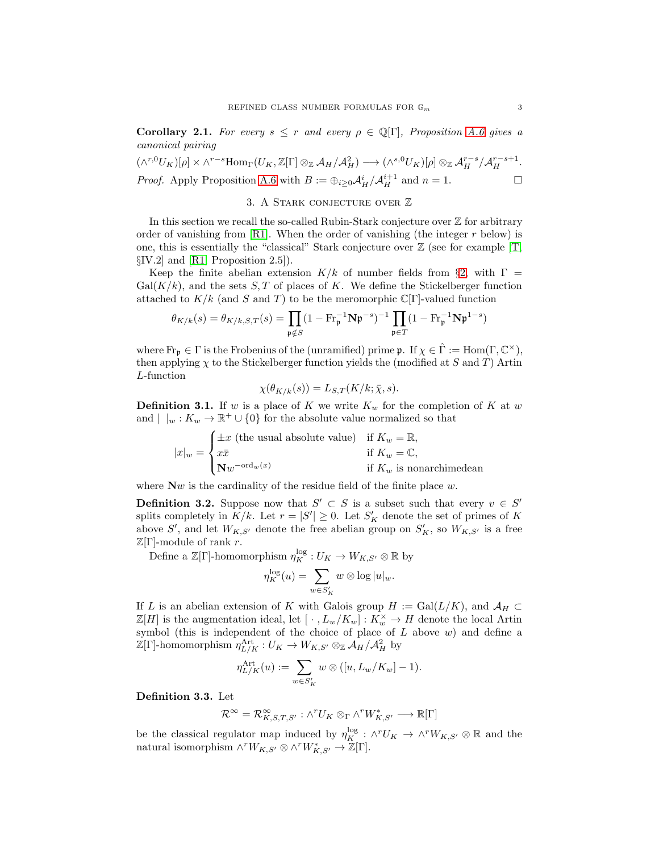<span id="page-2-2"></span>**Corollary 2.1.** For every  $s \leq r$  and every  $\rho \in \mathbb{Q}[\Gamma]$ , Proposition [A.6](#page-20-1) gives a *canonical pairing*

<span id="page-2-0"></span>
$$
(\wedge^{r,0}U_K)[\rho] \times \wedge^{r-s} \text{Hom}_{\Gamma}(U_K, \mathbb{Z}[\Gamma] \otimes_{\mathbb{Z}} A_H/A_H^2) \longrightarrow (\wedge^{s,0}U_K)[\rho] \otimes_{\mathbb{Z}} A_H^{r-s}/A_H^{r-s+1}.
$$
  
*Proof.* Apply Proposition A.6 with  $B := \bigoplus_{i \geq 0} A_H^i/A_H^{i+1}$  and  $n = 1$ .

## 3. A Stark conjecture over Z

In this section we recall the so-called Rubin-Stark conjecture over  $\mathbb Z$  for arbitrary order of vanishing from  $\lbrack \text{R1} \rbrack$ . When the order of vanishing (the integer r below) is one, this is essentially the "classical" Stark conjecture over  $\mathbb Z$  (see for example  $[T, \cdot]$ §IV.2] and [\[R1,](#page-21-10) Proposition 2.5]).

Keep the finite abelian extension  $K/k$  of number fields from §[2,](#page-1-0) with  $\Gamma =$  $Gal(K/k)$ , and the sets S, T of places of K. We define the Stickelberger function attached to  $K/k$  (and S and T) to be the meromorphic  $\mathbb{C}[\Gamma]$ -valued function

$$
\theta_{K/k}(s) = \theta_{K/k,S,T}(s) = \prod_{\mathfrak{p} \notin S} (1 - \mathrm{Fr}_{\mathfrak{p}}^{-1} \mathbf{N} \mathfrak{p}^{-s})^{-1} \prod_{\mathfrak{p} \in T} (1 - \mathrm{Fr}_{\mathfrak{p}}^{-1} \mathbf{N} \mathfrak{p}^{1-s})
$$

where  $Fr_p \in \Gamma$  is the Frobenius of the (unramified) prime  $\mathfrak{p}$ . If  $\chi \in \hat{\Gamma} := \text{Hom}(\Gamma, \mathbb{C}^{\times}),$ then applying  $\chi$  to the Stickelberger function yields the (modified at S and T) Artin L-function

$$
\chi(\theta_{K/k}(s)) = L_{S,T}(K/k; \bar{\chi}, s).
$$

**Definition 3.1.** If w is a place of K we write  $K_w$  for the completion of K at w and  $| \nvert_w: K_w \to \mathbb{R}^+ \cup \{0\}$  for the absolute value normalized so that

$$
|x|_w = \begin{cases} \pm x \text{ (the usual absolute value)} & \text{if } K_w = \mathbb{R}, \\ x\bar{x} & \text{if } K_w = \mathbb{C}, \\ \mathbf{N}w^{-\text{ord}_w(x)} & \text{if } K_w \text{ is nonarchimedean} \end{cases}
$$

where  $\mathbf{N}w$  is the cardinality of the residue field of the finite place w.

<span id="page-2-1"></span>**Definition 3.2.** Suppose now that  $S' \subset S$  is a subset such that every  $v \in S'$ splits completely in  $K/k$ . Let  $r = |S'| \geq 0$ . Let  $S'_{K}$  denote the set of primes of K above S', and let  $W_{K,S'}$  denote the free abelian group on  $S'_{K}$ , so  $W_{K,S'}$  is a free  $\mathbb{Z}[\Gamma]$ -module of rank r.

Define a  $\mathbb{Z}[\Gamma]$ -homomorphism  $\eta_K^{\log}: U_K \to W_{K,S'} \otimes \mathbb{R}$  by

$$
\eta_K^{\log}(u) = \sum_{w \in S'_K} w \otimes \log|u|_w.
$$

If L is an abelian extension of K with Galois group  $H := \text{Gal}(L/K)$ , and  $\mathcal{A}_H \subset$  $\mathbb{Z}[H]$  is the augmentation ideal, let  $[\cdot \, , L_w/K_w] : K_w^{\times} \to H$  denote the local Artin symbol (this is independent of the choice of place of  $L$  above  $w$ ) and define a  $\mathbb{Z}[\Gamma]$ -homomorphism  $\eta_{L/K}^{\text{Art}} : U_K \to W_{K,S'} \otimes_{\mathbb{Z}} A_H / A_H^2$  by

$$
\eta_{L/K}^{\text{Art}}(u) := \sum_{w \in S'_K} w \otimes ([u, L_w/K_w] - 1).
$$

Definition 3.3. Let

$$
\mathcal{R}^{\infty} = \mathcal{R}^{\infty}_{K,S,T,S'} : \wedge^r U_K \otimes_{\Gamma} \wedge^r W_{K,S'}^* \longrightarrow \mathbb{R}[\Gamma]
$$

be the classical regulator map induced by  $\eta_K^{\log} : \wedge^r U_K \to \wedge^r W_{K,S'} \otimes \mathbb{R}$  and the natural isomorphism  $\wedge^r W_{K,S'} \otimes \wedge^r W_{K,S'}^* \to \mathbb{Z}[\Gamma].$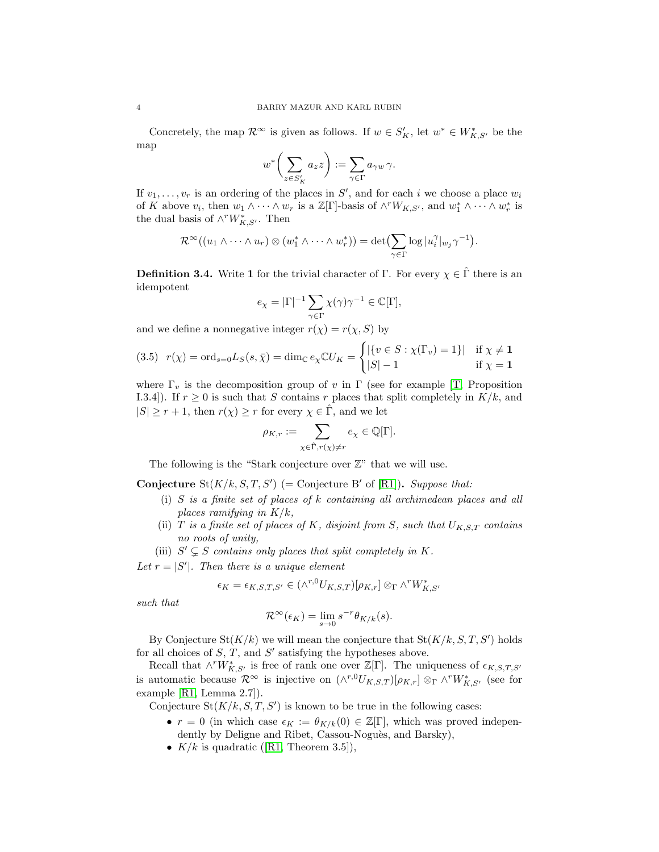Concretely, the map  $\mathcal{R}^{\infty}$  is given as follows. If  $w \in S_K'$ , let  $w^* \in W_{K,S'}^*$  be the map

$$
w^* \bigg( \sum_{z \in S'_K} a_z z \bigg) := \sum_{\gamma \in \Gamma} a_{\gamma w} \, \gamma.
$$

If  $v_1, \ldots, v_r$  is an ordering of the places in S', and for each i we choose a place  $w_i$ of K above  $v_i$ , then  $w_1 \wedge \cdots \wedge w_r$  is a  $\mathbb{Z}[\Gamma]$ -basis of  $\wedge^r W_{K,S'}$ , and  $w_1^* \wedge \cdots \wedge w_r^*$  is the dual basis of  $\wedge^r W^*_{K,S'}$ . Then

$$
\mathcal{R}^{\infty}((u_1 \wedge \cdots \wedge u_r) \otimes (w_1^* \wedge \cdots \wedge w_r^*)) = \det \left( \sum_{\gamma \in \Gamma} \log |u_i^{\gamma}|_{w_j} \gamma^{-1} \right).
$$

<span id="page-3-0"></span>**Definition 3.4.** Write 1 for the trivial character of Γ. For every  $\chi \in \hat{\Gamma}$  there is an idempotent

$$
e_\chi=|\Gamma|^{-1}\sum_{\gamma\in\Gamma}\chi(\gamma)\gamma^{-1}\in\mathbb C[\Gamma],
$$

and we define a nonnegative integer  $r(\chi) = r(\chi, S)$  by

$$
(3.5) \ \ r(\chi) = \text{ord}_{s=0} L_S(s, \bar{\chi}) = \dim_{\mathbb{C}} e_{\chi} \mathbb{C} U_K = \begin{cases} |\{v \in S : \chi(\Gamma_v) = 1\}| & \text{if } \chi \neq 1\\ |S| - 1 & \text{if } \chi = 1 \end{cases}
$$

where  $\Gamma_v$  is the decomposition group of v in  $\Gamma$  (see for example [\[T,](#page-21-11) Proposition I.3.4]). If  $r \geq 0$  is such that S contains r places that split completely in  $K/k$ , and  $|S| \geq r+1$ , then  $r(\chi) \geq r$  for every  $\chi \in \hat{\Gamma}$ , and we let

$$
\rho_{K,r} := \sum_{\chi \in \hat{\Gamma}, r(\chi) \neq r} e_{\chi} \in \mathbb{Q}[\Gamma].
$$

The following is the "Stark conjecture over  $\mathbb{Z}$ " that we will use.

**Conjecture**  $\text{St}(K/k, S, T, S')$  (= Conjecture B' of [\[R1\]](#page-21-10)). Suppose that:

- (i) S *is a finite set of places of* k *containing all archimedean places and all places ramifying in* K/k*,*
- (ii) T *is a finite set of places of* K, disjoint from S, such that  $U_{K,S,T}$  contains *no roots of unity,*

(iii)  $S' \subsetneq S$  *contains only places that split completely in* K.

Let  $r = |S'|$ . Then there is a unique element

$$
\epsilon_K = \epsilon_{K,S,T,S'} \in (\wedge^{r,0} U_{K,S,T}) [\rho_{K,r}] \otimes_{\Gamma} \wedge^r W_{K,S'}^*
$$

*such that*

$$
\mathcal{R}^{\infty}(\epsilon_K) = \lim_{s \to 0} s^{-r} \theta_{K/k}(s).
$$

By Conjecture  $\text{St}(K/k)$  we will mean the conjecture that  $\text{St}(K/k, S, T, S')$  holds for all choices of  $S$ ,  $T$ , and  $S'$  satisfying the hypotheses above.

Recall that  $\wedge^r W^*_{K,S'}$  is free of rank one over  $\mathbb{Z}[\Gamma]$ . The uniqueness of  $\epsilon_{K,S,T,S'}$ is automatic because  $\mathcal{R}^{\infty}$  is injective on  $(\wedge^{r,0}U_{K,S,T})[\rho_{K,r}] \otimes_{\Gamma} \wedge^r W^*_{K,S'}$  (see for example [\[R1,](#page-21-10) Lemma 2.7]).

Conjecture  $St(K/k, S, T, S')$  is known to be true in the following cases:

- $r = 0$  (in which case  $\epsilon_K := \theta_{K/k}(0) \in \mathbb{Z}[\Gamma]$ , which was proved independently by Deligne and Ribet, Cassou-Noguès, and Barsky),
- • $K/k$  is quadratic ([\[R1,](#page-21-10) Theorem 3.5]),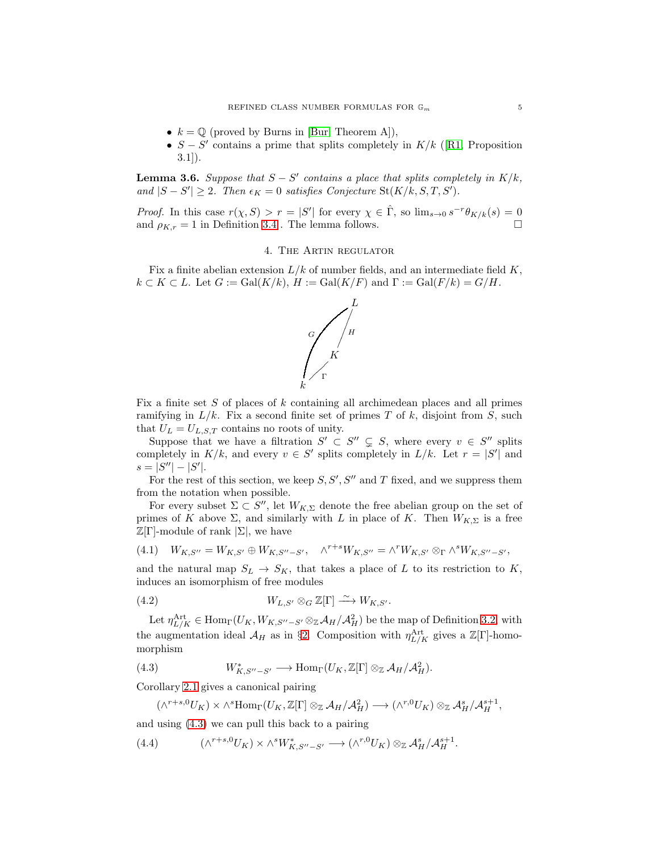- $k = \mathbb{Q}$  (proved by Burns in [\[Bur,](#page-21-12) Theorem A]),
- $S S'$  contains a prime that splits completely in  $K/k$  ([\[R1,](#page-21-10) Proposition 3.1]).

<span id="page-4-5"></span>**Lemma 3.6.** *Suppose that*  $S - S'$  *contains a place that splits completely in*  $K/k$ , and  $|S - S'|$  ≥ 2*.* Then  $\epsilon_K = 0$  satisfies Conjecture St(K/k, S, T, S').

<span id="page-4-0"></span>*Proof.* In this case  $r(\chi, S) > r = |S'|$  for every  $\chi \in \hat{\Gamma}$ , so  $\lim_{s\to 0} s^{-r}\theta_{K/k}(s) = 0$ and  $\rho_{K,r} = 1$  in Definition [3.4](#page-3-0). The lemma follows.

### 4. The Artin regulator

Fix a finite abelian extension  $L/k$  of number fields, and an intermediate field  $K$ ,  $k \subset K \subset L$ . Let  $G := \text{Gal}(K/k)$ ,  $H := \text{Gal}(K/F)$  and  $\Gamma := \text{Gal}(F/k) = G/H$ .



Fix a finite set S of places of k containing all archimedean places and all primes ramifying in  $L/k$ . Fix a second finite set of primes T of k, disjoint from S, such that  $U_L = U_{L,S,T}$  contains no roots of unity.

Suppose that we have a filtration  $S' \subset S'' \subsetneq S$ , where every  $v \in S''$  splits completely in  $K/k$ , and every  $v \in S'$  splits completely in  $L/k$ . Let  $r = |S'|$  and  $s = |S''| - |S'|$ .

For the rest of this section, we keep  $S, S', S''$  and T fixed, and we suppress them from the notation when possible.

For every subset  $\Sigma \subset S''$ , let  $W_{K,\Sigma}$  denote the free abelian group on the set of primes of K above  $\Sigma$ , and similarly with L in place of K. Then  $W_{K,\Sigma}$  is a free  $\mathbb{Z}[\Gamma]$ -module of rank  $|\Sigma|$ , we have

<span id="page-4-3"></span>(4.1) 
$$
W_{K,S''} = W_{K,S'} \oplus W_{K,S''-S'}, \quad \wedge^{r+s} W_{K,S''} = \wedge^r W_{K,S'} \otimes_{\Gamma} \wedge^s W_{K,S''-S'},
$$

and the natural map  $S_L \to S_K$ , that takes a place of L to its restriction to K, induces an isomorphism of free modules

<span id="page-4-4"></span>(4.2) 
$$
W_{L,S'} \otimes_G \mathbb{Z}[\Gamma] \xrightarrow{\sim} W_{K,S'}.
$$

Let  $\eta_{L/K}^{\text{Art}} \in \text{Hom}_{\Gamma}(U_K, W_{K,S''-S'} \otimes_{\mathbb{Z}} A_H/\mathcal{A}_H^2)$  be the map of Definition [3.2,](#page-2-1) with the augmentation ideal  $\mathcal{A}_H$  as in §[2.](#page-1-0) Composition with  $\eta_{L/K}^{\text{Art}}$  gives a  $\mathbb{Z}[\Gamma]$ -homomorphism

(4.3) 
$$
W_{K,S''-S'}^* \longrightarrow \text{Hom}_{\Gamma}(U_K, \mathbb{Z}[\Gamma] \otimes_{\mathbb{Z}} \mathcal{A}_H/\mathcal{A}_H^2).
$$

Corollary [2.1](#page-2-2) gives a canonical pairing

<span id="page-4-2"></span><span id="page-4-1"></span> $(\wedge^{r+s,0}U_K)\times \wedge^s\text{Hom}_{\Gamma}(U_K,\mathbb{Z}[\Gamma]\otimes_{\mathbb{Z}}\mathcal{A}_H/\mathcal{A}_H^2)\longrightarrow (\wedge^{r,0}U_K)\otimes_{\mathbb{Z}}\mathcal{A}_H^s/\mathcal{A}_H^{s+1},$ 

and using [\(4.3\)](#page-4-1) we can pull this back to a pairing

 $(4.4)$  ${}^{r+s,0}U_K \rangle \times \wedge^s W^*_{K,S''-S'} \longrightarrow (\wedge^{r,0}U_K)\otimes_{{\mathbb Z}} {\mathcal A}_H^s/{\mathcal A}_H^{s+1}.$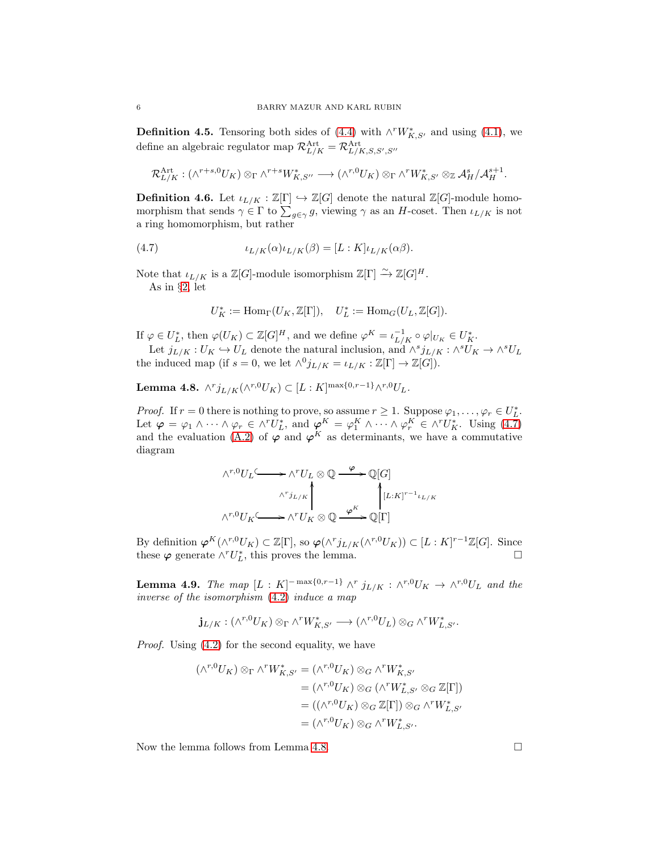<span id="page-5-0"></span>**Definition 4.5.** Tensoring both sides of [\(4.4\)](#page-4-2) with  $\wedge^r W^*_{K,S'}$  and using [\(4.1\)](#page-4-3), we define an algebraic regulator map  $\mathcal{R}_{L/K}^{\text{Art}} = \mathcal{R}_{L/K,S,S',S''}^{\text{Art}}$ 

$$
\mathcal{R}_{L/K}^{\text{Art}}: (\wedge^{r+s,0} U_K) \otimes_{\Gamma} \wedge^{r+s} W_{K,S''}^* \longrightarrow (\wedge^{r,0} U_K) \otimes_{\Gamma} \wedge^r W_{K,S'}^* \otimes_{\mathbb{Z}} \mathcal{A}_H^s / \mathcal{A}_H^{s+1}.
$$

**Definition 4.6.** Let  $\iota_{L/K} : \mathbb{Z}[\Gamma] \hookrightarrow \mathbb{Z}[G]$  denote the natural  $\mathbb{Z}[G]$ -module homomorphism that sends  $\gamma \in \Gamma$  to  $\sum_{g \in \gamma} g$ , viewing  $\gamma$  as an H-coset. Then  $\iota_{L/K}$  is not a ring homomorphism, but rather

(4.7) 
$$
\iota_{L/K}(\alpha)\iota_{L/K}(\beta) = [L:K]\iota_{L/K}(\alpha\beta).
$$

Note that  $\iota_{L/K}$  is a  $\mathbb{Z}[G]$ -module isomorphism  $\mathbb{Z}[\Gamma] \xrightarrow{\sim} \mathbb{Z}[G]^H$ . As in §[2,](#page-1-0) let

<span id="page-5-1"></span>
$$
U_K^* := \mathrm{Hom}_{\Gamma}(U_K,\mathbb{Z}[\Gamma]), \quad U_L^* := \mathrm{Hom}_G(U_L,\mathbb{Z}[G]).
$$

If  $\varphi \in U_L^*$ , then  $\varphi(U_K) \subset \mathbb{Z}[G]^H$ , and we define  $\varphi^K = \iota_{L/K}^{-1} \circ \varphi|_{U_K} \in U_K^*$ .

Let  $j_{L/K}: U_K \hookrightarrow U_L$  denote the natural inclusion, and  $\wedge^s j_{L/K}: \wedge^s U_K \to \wedge^s U_L$ the induced map (if  $s = 0$ , we let  $\wedge^0 j_{L/K} = \iota_{L/K} : \mathbb{Z}[\Gamma] \to \mathbb{Z}[G]).$ 

<span id="page-5-2"></span> $\textbf{Lemma 4.8.} \ \wedge^r j_{L/K}(\wedge^{r,0} U_K) \subset [L:K]^{\max\{0,r-1\}} \wedge^{r,0} U_L.$ 

*Proof.* If  $r = 0$  there is nothing to prove, so assume  $r \geq 1$ . Suppose  $\varphi_1, \ldots, \varphi_r \in U_L^*$ . Let  $\varphi = \varphi_1 \wedge \cdots \wedge \varphi_r \in \wedge^r U_L^*$ , and  $\varphi^K = \varphi_1^K \wedge \cdots \wedge \varphi_r^K \in \wedge^r U_K^*$ . Using [\(4.7\)](#page-5-1) and the evaluation [\(A.2\)](#page-20-2) of  $\varphi$  and  $\varphi^K$  as determinants, we have a commutative diagram

$$
\wedge^{r,0}U_L \longrightarrow \wedge^r U_L \otimes \mathbb{Q} \xrightarrow{\varphi} \mathbb{Q}[G]
$$

$$
\wedge^r j_{L/K} \qquad \qquad \downarrow \qquad \qquad [\Lcolon K]^{r-1} \iota_{L/K}
$$

$$
\wedge^{r,0} U_K \longrightarrow \wedge^r U_K \otimes \mathbb{Q} \xrightarrow{\varphi^K} \mathbb{Q}[\Gamma]
$$

By definition  $\varphi^K(\wedge^{r,0}U_K) \subset \mathbb{Z}[\Gamma]$ , so  $\varphi(\wedge^r j_{L/K}(\wedge^{r,0}U_K)) \subset [L:K]^{r-1}\mathbb{Z}[G]$ . Since these  $\varphi$  generate  $\wedge^r U_L^*$ , this proves the lemma.

<span id="page-5-3"></span>**Lemma 4.9.** *The map*  $[L: K]^{-\max\{0, r-1\}} \wedge^r j_{L/K} : \wedge^{r,0} U_K \rightarrow \wedge^{r,0} U_L$  and the *inverse of the isomorphism* [\(4.2\)](#page-4-4) *induce a map*

$$
\mathbf{j}_{L/K}:(\wedge^{r,0}U_K)\otimes_{\Gamma}\wedge^r W_{K,S'}^*\longrightarrow(\wedge^{r,0}U_L)\otimes_{G}\wedge^r W_{L,S'}^*.
$$

*Proof.* Using  $(4.2)$  for the second equality, we have

$$
(\wedge^{r,0}U_K) \otimes_{\Gamma} \wedge^r W_{K,S'}^* = (\wedge^{r,0}U_K) \otimes_G \wedge^r W_{K,S'}^*
$$
  

$$
= (\wedge^{r,0}U_K) \otimes_G (\wedge^r W_{L,S'}^* \otimes_G \mathbb{Z}[\Gamma])
$$
  

$$
= ((\wedge^{r,0}U_K) \otimes_G \mathbb{Z}[\Gamma]) \otimes_G \wedge^r W_{L,S'}^*
$$
  

$$
= (\wedge^{r,0}U_K) \otimes_G \wedge^r W_{L,S'}^*.
$$

Now the lemma follows from Lemma [4.8.](#page-5-2)

$$
6\quad
$$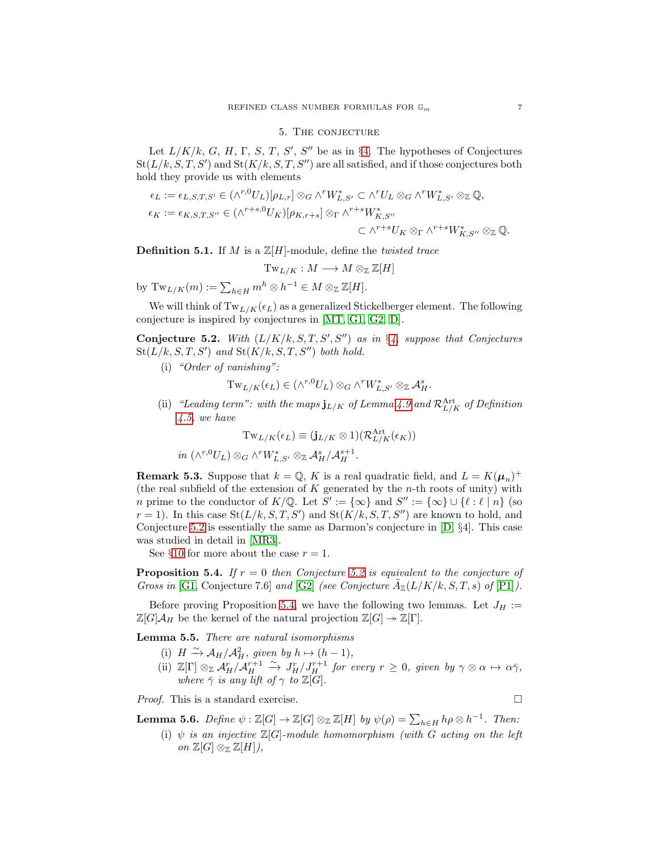### 5. The conjecture

<span id="page-6-0"></span>Let  $L/K/k$ , G, H,  $\Gamma$ , S, T, S', S'' be as in §[4.](#page-4-0) The hypotheses of Conjectures  $St(L/k, S, T, S')$  and  $St(K/k, S, T, S'')$  are all satisfied, and if those conjectures both hold they provide us with elements

$$
\epsilon_L := \epsilon_{L,S,T,S'} \in (\wedge^{r,0} U_L)[\rho_{L,r}] \otimes_G \wedge^r W_{L,S'}^* \subset \wedge^r U_L \otimes_G \wedge^r W_{L,S'}^* \otimes_{\mathbb{Z}} \mathbb{Q},
$$
  
\n
$$
\epsilon_K := \epsilon_{K,S,T,S''} \in (\wedge^{r+s,0} U_K)[\rho_{K,r+s}] \otimes_{\Gamma} \wedge^{r+s} W_{K,S''}^*
$$
  
\n
$$
\subset \wedge^{r+s} U_K \otimes_{\Gamma} \wedge^{r+s} W_{K,S''}^* \otimes_{\mathbb{Z}} \mathbb{Q}.
$$

Definition 5.1. If M is a Z[H]-module, define the *twisted trace*

$$
\mathrm{Tw}_{L/K}: M \longrightarrow M \otimes_{\mathbb{Z}} \mathbb{Z}[H]
$$

by  $\mathrm{Tw}_{L/K}(m) := \sum_{h \in H} m^h \otimes h^{-1} \in M \otimes_{\mathbb{Z}} \mathbb{Z}[H].$ 

We will think of  $Tw_{L/K}(\epsilon_L)$  as a generalized Stickelberger element. The following conjecture is inspired by conjectures in [\[MT,](#page-21-3) [G1,](#page-21-2) [G2,](#page-21-13) [D\]](#page-21-1).

<span id="page-6-1"></span>Conjecture 5.2. With  $(L/K/k, S, T, S', S'')$  as in §[4,](#page-4-0) suppose that Conjectures  $St(L/k, S, T, S')$  and  $St(K/k, S, T, S'')$  both hold.

(i) *"Order of vanishing":*

$$
\mathrm{Tw}_{L/K}(\epsilon_L) \in (\wedge^{r,0} U_L) \otimes_G \wedge^r W^*_{L,S'} \otimes_{\mathbb{Z}} \mathcal{A}_H^s.
$$

(ii) *"Leading term": with the maps*  $j_{L/K}$  *of Lemma [4.9](#page-5-3) and*  $\mathcal{R}_{L/K}^{\text{Art}}$  *of Definition [4.5,](#page-5-0) we have*

$$
\mathrm{Tw}_{L/K}(\epsilon_L) \equiv (\mathbf{j}_{L/K} \otimes 1)(\mathcal{R}_{L/K}^{\mathrm{Art}}(\epsilon_K))
$$

 $in \ (\wedge^{r,0} U_L) \otimes_G \wedge^r W_{L,S'}^* \otimes_{\mathbb{Z}} \mathcal{A}_H^s / \mathcal{A}_H^{s+1}.$ 

**Remark 5.3.** Suppose that  $k = \mathbb{Q}$ , K is a real quadratic field, and  $L = K(\mu_n)^+$ (the real subfield of the extension of  $K$  generated by the  $n$ -th roots of unity) with *n* prime to the conductor of  $K/\mathbb{Q}$ . Let  $S' := {\infty}$  and  $S'' := {\infty} \cup {\ell : \ell \mid n}$  (so  $r = 1$ ). In this case St( $L/k, S, T, S'$ ) and St( $K/k, S, T, S''$ ) are known to hold, and Conjecture [5.2](#page-6-1) is essentially the same as Darmon's conjecture in [\[D,](#page-21-1) §4]. This case was studied in detail in [\[MR3\]](#page-21-5).

See §[10](#page-15-0) for more about the case  $r = 1$ .

<span id="page-6-2"></span>Proposition 5.4. *If* r = 0 *then Conjecture [5.2](#page-6-1) is equivalent to the conjecture of Gross in* [\[G1,](#page-21-2) Conjecture 7.6] *and* [\[G2\]](#page-21-13) *(see Conjecture*  $\tilde{A}_{\mathbb{Z}}(L/K/k, S, T, s)$  *of* [\[P1\]](#page-21-14)).

Before proving Proposition [5.4,](#page-6-2) we have the following two lemmas. Let  $J_H :=$  $\mathbb{Z}[G]\mathcal{A}_H$  be the kernel of the natural projection  $\mathbb{Z}[G] \rightarrow \mathbb{Z}[\Gamma]$ .

<span id="page-6-3"></span>Lemma 5.5. *There are natural isomorphisms*

- (i)  $H \xrightarrow{\sim} \mathcal{A}_H/\mathcal{A}_H^2$ *, given by*  $h \mapsto (h-1)$ *,*
- (ii)  $\mathbb{Z}[\Gamma] \otimes_{\mathbb{Z}} \mathcal{A}_{H}^{r} / \mathcal{A}_{H}^{r+1} \xrightarrow{\sim} J_{H}^{r} / J_{H}^{r+1}$  *for every*  $r \geq 0$ *, given by*  $\gamma \otimes \alpha \mapsto \alpha \overline{\gamma}$ *, where*  $\bar{\gamma}$  *is any lift of*  $\gamma$  *to*  $\mathbb{Z}[G]$ *.*

*Proof.* This is a standard exercise. □

<span id="page-6-4"></span>**Lemma 5.6.** *Define*  $\psi : \mathbb{Z}[G] \to \mathbb{Z}[G] \otimes_{\mathbb{Z}} \mathbb{Z}[H]$  *by*  $\psi(\rho) = \sum_{h \in H} h\rho \otimes h^{-1}$ *. Then:* 

(i)  $\psi$  *is an injective*  $\mathbb{Z}[G]$ -module homomorphism (with G acting on the left *on*  $\mathbb{Z}[G] \otimes_{\mathbb{Z}} \mathbb{Z}[H]),$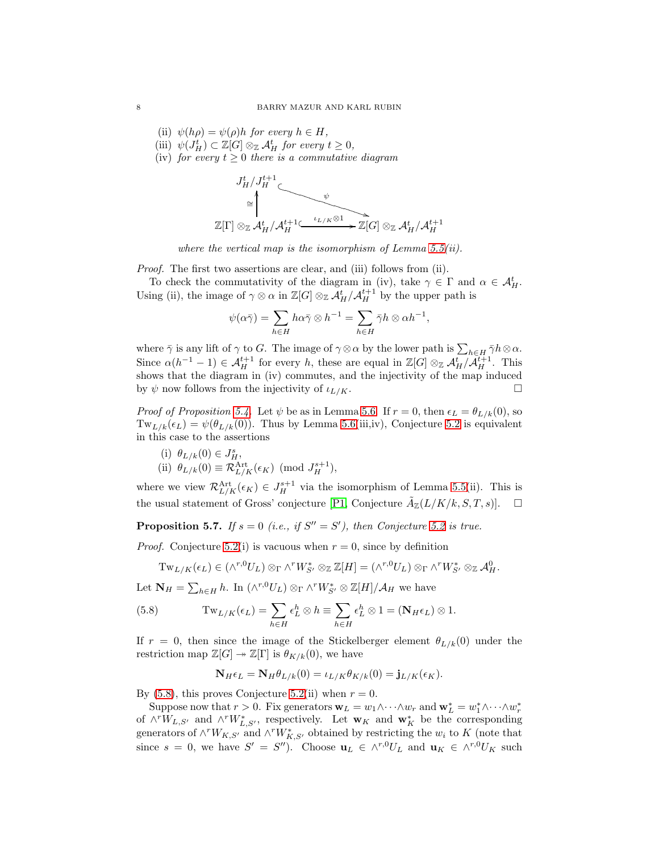- (ii)  $\psi(h\rho) = \psi(\rho)h$  *for every*  $h \in H$ ,
- (iii)  $\psi(J_H^t) \subset \mathbb{Z}[G] \otimes_{\mathbb{Z}} \mathcal{A}_H^t$  *for every*  $t \geq 0$ *,*
- (iv) *for every*  $t \geq 0$  *there is a commutative diagram*



*where the vertical map is the isomorphism of Lemma [5.5\(](#page-6-3)ii).*

*Proof.* The first two assertions are clear, and (iii) follows from (ii).

To check the commutativity of the diagram in (iv), take  $\gamma \in \Gamma$  and  $\alpha \in \mathcal{A}_{H}^{t}$ . Using (ii), the image of  $\gamma \otimes \alpha$  in  $\mathbb{Z}[G] \otimes_{\mathbb{Z}} \mathcal{A}_H^t / \mathcal{A}_H^{t+1}$  by the upper path is

$$
\psi(\alpha \bar{\gamma}) = \sum_{h \in H} h\alpha \bar{\gamma} \otimes h^{-1} = \sum_{h \in H} \bar{\gamma}h \otimes \alpha h^{-1},
$$

where  $\bar{\gamma}$  is any lift of  $\gamma$  to G. The image of  $\gamma \otimes \alpha$  by the lower path is  $\sum_{h \in H} \bar{\gamma}h \otimes \alpha$ . Since  $\alpha(h^{-1}-1) \in \mathcal{A}_H^{t+1}$  for every h, these are equal in  $\mathbb{Z}[G] \otimes_{\mathbb{Z}} \mathcal{A}_H^t / \mathcal{A}_H^{t+1}$ . This shows that the diagram in (iv) commutes, and the injectivity of the map induced by  $\psi$  now follows from the injectivity of  $\iota_{L/K}$ .

*Proof of Proposition* [5.4.](#page-6-2) Let  $\psi$  be as in Lemma [5.6.](#page-6-4) If  $r = 0$ , then  $\epsilon_L = \theta_{L/k}(0)$ , so  $Tw_{L/k}(\epsilon_L) = \psi(\theta_{L/k}(0))$ . Thus by Lemma [5.6\(](#page-6-4)iii,iv), Conjecture [5.2](#page-6-1) is equivalent in this case to the assertions

(i)  $\theta_{L/k}(0) \in J_H^s$ , (ii)  $\theta_{L/k}(0) \equiv \mathcal{R}_{L/K}^{\text{Art}}(\epsilon_K) \pmod{J_H^{s+1}},$ 

where we view  $\mathcal{R}_{L/K}^{\text{Art}}(\epsilon_K) \in J_H^{s+1}$  via the isomorphism of Lemma [5.5\(](#page-6-3)ii). This is the usual statement of Gross' conjecture [\[P1,](#page-21-14) Conjecture  $\tilde{A}_{\mathbb{Z}}(L/K/k, S, T, s)$ ].  $\Box$ 

<span id="page-7-1"></span>**Proposition 5.7.** *If*  $s = 0$  (*i.e., if*  $S'' = S'$ *), then Conjecture* [5.2](#page-6-1) *is true.* 

*Proof.* Conjecture [5.2\(](#page-6-1)i) is vacuous when  $r = 0$ , since by definition

<span id="page-7-0"></span>
$$
\mathrm{Tw}_{L/K}(\epsilon_L) \in (\wedge^{r,0} U_L) \otimes_{\Gamma} \wedge^r W^*_{S'} \otimes_{\mathbb{Z}} \mathbb{Z}[H] = (\wedge^{r,0} U_L) \otimes_{\Gamma} \wedge^r W^*_{S'} \otimes_{\mathbb{Z}} \mathcal{A}_H^0.
$$

Let  $N_H = \sum_{h \in H} h$ . In  $(\wedge^{r,0} U_L) \otimes_{\Gamma} \wedge^r W_{S'}^* \otimes \mathbb{Z}[H]/\mathcal{A}_H$  we have

(5.8) 
$$
\operatorname{Tw}_{L/K}(\epsilon_L) = \sum_{h \in H} \epsilon_L^h \otimes h \equiv \sum_{h \in H} \epsilon_L^h \otimes 1 = (\mathbf{N}_H \epsilon_L) \otimes 1.
$$

If  $r = 0$ , then since the image of the Stickelberger element  $\theta_{L/k}(0)$  under the restriction map  $\mathbb{Z}[G] \twoheadrightarrow \mathbb{Z}[\Gamma]$  is  $\theta_{K/k}(0)$ , we have

$$
\mathbf{N}_H \epsilon_L = \mathbf{N}_H \theta_{L/k}(0) = \iota_{L/K} \theta_{K/k}(0) = \mathbf{j}_{L/K}(\epsilon_K).
$$

By [\(5.8\)](#page-7-0), this proves Conjecture [5.2\(](#page-6-1)ii) when  $r = 0$ .

Suppose now that  $r > 0$ . Fix generators  $\mathbf{w}_L = w_1 \wedge \cdots \wedge w_r$  and  $\mathbf{w}_L^* = w_1^* \wedge \cdots \wedge w_r^*$ of  $\wedge^r W_{L,S'}$  and  $\wedge^r W^*_{L,S'}$ , respectively. Let  $\mathbf{w}_K$  and  $\mathbf{w}_K^*$  be the corresponding generators of  $\wedge^r W_{K,S'}$  and  $\wedge^r W_{K,S'}^*$  obtained by restricting the  $w_i$  to K (note that since  $s = 0$ , we have  $S' = S''$ ). Choose  $\mathbf{u}_L \in \wedge^{r,0} U_L$  and  $\mathbf{u}_K \in \wedge^{r,0} U_K$  such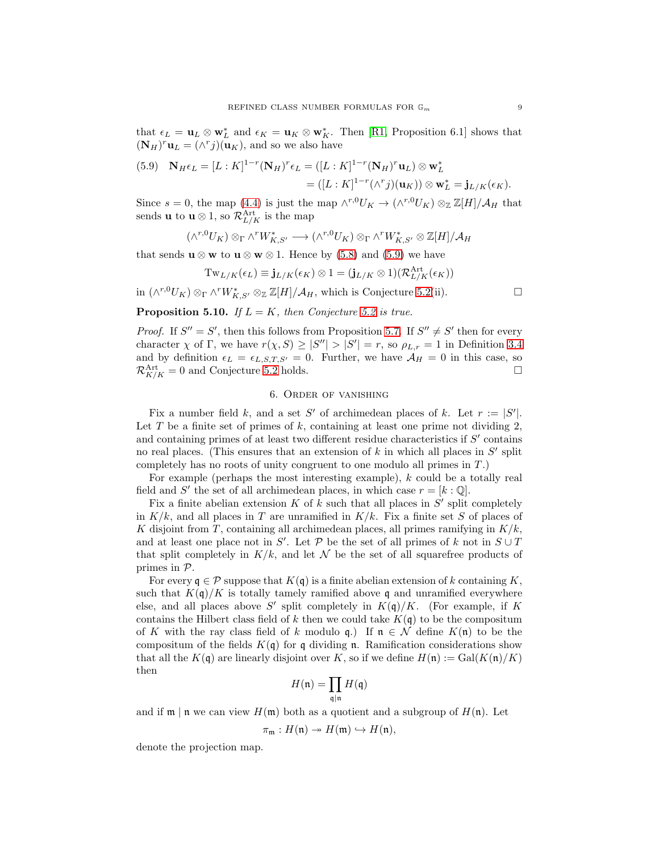that  $\epsilon_L = \mathbf{u}_L \otimes \mathbf{w}_L^*$  and  $\epsilon_K = \mathbf{u}_K \otimes \mathbf{w}_K^*$ . Then [\[R1,](#page-21-10) Proposition 6.1] shows that  $(\mathbf{N}_H)^r \mathbf{u}_L = (\wedge^r j)(\mathbf{u}_K)$ , and so we also have

<span id="page-8-1"></span>(5.9) 
$$
\mathbf{N}_H \epsilon_L = [L : K]^{1-r} (\mathbf{N}_H)^r \epsilon_L = ([L : K]^{1-r} (\mathbf{N}_H)^r \mathbf{u}_L) \otimes \mathbf{w}_L^*
$$

$$
= ([L : K]^{1-r} (\wedge^r j)(\mathbf{u}_K)) \otimes \mathbf{w}_L^* = \mathbf{j}_{L/K} (\epsilon_K).
$$

Since  $s = 0$ , the map [\(4.4\)](#page-4-2) is just the map  $\wedge^{r,0} U_K \to (\wedge^{r,0} U_K) \otimes_{\mathbb{Z}} \mathbb{Z}[H]/\mathcal{A}_H$  that sends **u** to **u**  $\otimes$  1, so  $\mathcal{R}_{L/K}^{\text{Art}}$  is the map

$$
(\wedge^{r,0}U_K)\otimes_{\Gamma}\wedge^r W_{K,S'}^*\longrightarrow (\wedge^{r,0}U_K)\otimes_{\Gamma}\wedge^r W_{K,S'}^*\otimes \mathbb{Z}[H]/\mathcal{A}_H
$$

that sends  $\mathbf{u} \otimes \mathbf{w}$  to  $\mathbf{u} \otimes \mathbf{w} \otimes 1$ . Hence by [\(5.8\)](#page-7-0) and [\(5.9\)](#page-8-1) we have

$$
\mathrm{Tw}_{L/K}(\epsilon_L) \equiv \mathbf{j}_{L/K}(\epsilon_K) \otimes 1 = (\mathbf{j}_{L/K} \otimes 1)(\mathcal{R}_{L/K}^{\mathrm{Art}}(\epsilon_K))
$$

in  $(\wedge^{r,0} U_K) \otimes_{\Gamma} \wedge^r W_{K,S'}^* \otimes_{\mathbb{Z}} \mathbb{Z}[H]/\mathcal{A}_H$ , which is Conjecture [5.2\(](#page-6-1)ii).

<span id="page-8-2"></span>**Proposition 5.10.** *If*  $L = K$ *, then Conjecture* [5.2](#page-6-1) *is true.* 

*Proof.* If  $S'' = S'$ , then this follows from Proposition [5.7.](#page-7-1) If  $S'' \neq S'$  then for every character  $\chi$  of  $\Gamma$ , we have  $r(\chi, S) \geq |S''| > |S'| = r$ , so  $\rho_{L,r} = 1$  in Definition [3.4](#page-3-0) and by definition  $\epsilon_L = \epsilon_{L,S,T,S'} = 0$ . Further, we have  $\mathcal{A}_H = 0$  in this case, so  $\mathcal{R}^{\text{Art}}_{K/K} = 0$  and Conjecture [5.2](#page-6-1) holds.

#### 6. Order of vanishing

<span id="page-8-0"></span>Fix a number field k, and a set S' of archimedean places of k. Let  $r := |S'|$ . Let  $T$  be a finite set of primes of  $k$ , containing at least one prime not dividing  $2$ , and containing primes of at least two different residue characteristics if  $S'$  contains no real places. (This ensures that an extension of  $k$  in which all places in  $S'$  split completely has no roots of unity congruent to one modulo all primes in  $T$ .)

For example (perhaps the most interesting example),  $k$  could be a totally real field and S' the set of all archimedean places, in which case  $r = [k : \mathbb{Q}]$ .

Fix a finite abelian extension  $K$  of  $k$  such that all places in  $S'$  split completely in  $K/k$ , and all places in T are unramified in  $K/k$ . Fix a finite set S of places of K disjoint from T, containing all archimedean places, all primes ramifying in  $K/k$ , and at least one place not in S'. Let P be the set of all primes of k not in  $S \cup T$ that split completely in  $K/k$ , and let N be the set of all squarefree products of primes in P.

For every  $\mathfrak{q} \in \mathcal{P}$  suppose that  $K(\mathfrak{q})$  is a finite abelian extension of k containing K, such that  $K(\mathfrak{q})/K$  is totally tamely ramified above q and unramified everywhere else, and all places above S' split completely in  $K(\mathfrak{q})/K$ . (For example, if K contains the Hilbert class field of k then we could take  $K(q)$  to be the compositum of K with the ray class field of k modulo q.) If  $\mathfrak{n} \in \mathcal{N}$  define  $K(\mathfrak{n})$  to be the compositum of the fields  $K(q)$  for q dividing n. Ramification considerations show that all the  $K(\mathfrak{q})$  are linearly disjoint over K, so if we define  $H(\mathfrak{n}) := \text{Gal}(K(\mathfrak{n})/K)$ then

$$
H(\mathfrak{n})=\prod_{\mathfrak{q}|\mathfrak{n}}H(\mathfrak{q})
$$

and if  $\mathfrak{m} \mid \mathfrak{n}$  we can view  $H(\mathfrak{m})$  both as a quotient and a subgroup of  $H(\mathfrak{n})$ . Let

$$
\pi_{\mathfrak{m}}:H(\mathfrak{n})\twoheadrightarrow H(\mathfrak{m})\hookrightarrow H(\mathfrak{n}),
$$

denote the projection map.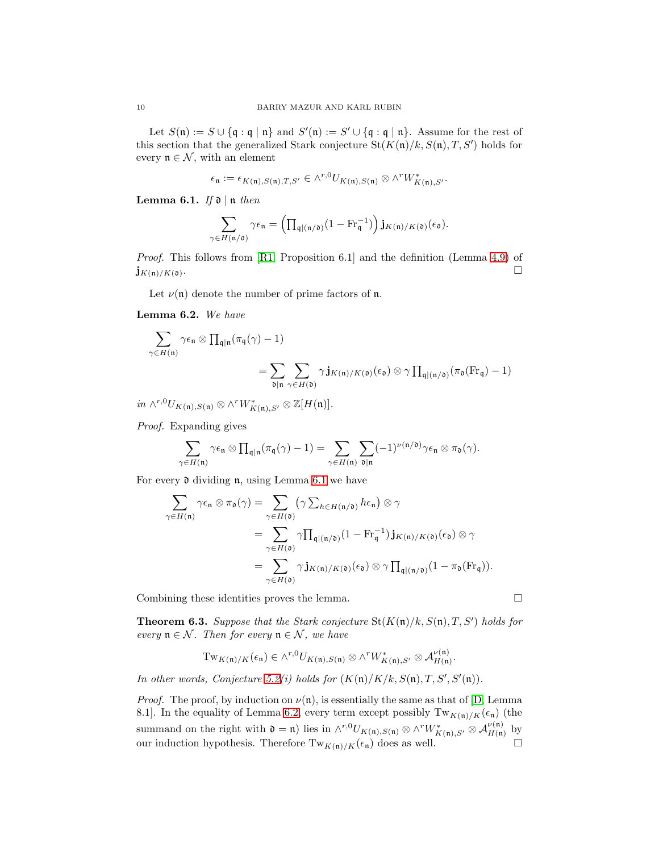Let  $S(\mathfrak{n}) := S \cup \{ \mathfrak{q} : \mathfrak{q} \mid \mathfrak{n} \}$  and  $S'(\mathfrak{n}) := S' \cup \{ \mathfrak{q} : \mathfrak{q} \mid \mathfrak{n} \}$ . Assume for the rest of this section that the generalized Stark conjecture  $\text{St}(K(\mathfrak{n})/k, S(\mathfrak{n}), T, S')$  holds for every  $\mathfrak{n} \in \mathcal{N}$ , with an element

$$
\epsilon_{\mathfrak{n}} := \epsilon_{K(\mathfrak{n}),S(\mathfrak{n}),T,S'} \in \wedge^{r,0} U_{K(\mathfrak{n}),S(\mathfrak{n})} \otimes \wedge^r W^*_{K(\mathfrak{n}),S'}.
$$

<span id="page-9-1"></span>Lemma 6.1. *If* d | n *then*

$$
\sum_{\gamma \in H(\mathfrak{n}/\mathfrak{d})} \gamma \epsilon_{\mathfrak{n}} = \left( \prod_{\mathfrak{q} | (\mathfrak{n}/\mathfrak{d})} (1 - \mathrm{Fr}_{\mathfrak{q}}^{-1}) \right) \mathbf{j}_{K(\mathfrak{n})/K(\mathfrak{d})}(\epsilon_{\mathfrak{d}}).
$$

*Proof.* This follows from [\[R1,](#page-21-10) Proposition 6.1] and the definition (Lemma [4.9\)](#page-5-3) of  ${\mathbf j}_{K({\mathfrak n})/K({\mathfrak d})}.$ .

Let  $\nu(\mathfrak{n})$  denote the number of prime factors of  $\mathfrak{n}$ .

<span id="page-9-2"></span>Lemma 6.2. *We have*

$$
\sum_{\gamma \in H(\mathfrak{n})} \gamma \epsilon_{\mathfrak{n}} \otimes \prod_{\mathfrak{q} | \mathfrak{n}} (\pi_{\mathfrak{q}}(\gamma) - 1)
$$
  
= 
$$
\sum_{\mathfrak{d} | \mathfrak{n}} \sum_{\gamma \in H(\mathfrak{d})} \gamma \mathbf{j}_{K(\mathfrak{n})/K(\mathfrak{d})}(\epsilon_{\mathfrak{d}}) \otimes \gamma \prod_{\mathfrak{q} | (\mathfrak{n}/\mathfrak{d})} (\pi_{\mathfrak{d}}(Fr_{\mathfrak{q}}) - 1)
$$

 $in \wedge^{r,0} U_{K(\mathfrak{n}),S(\mathfrak{n})} \otimes \wedge^r W^*_{K(\mathfrak{n}),S'} \otimes \mathbb{Z}[H(\mathfrak{n})].$ 

*Proof.* Expanding gives

$$
\sum_{\gamma \in H(\mathfrak{n})} \gamma \epsilon_\mathfrak{n} \otimes \prod_{\mathfrak{q} \mid \mathfrak{n}} (\pi_\mathfrak{q}(\gamma)-1) = \sum_{\gamma \in H(\mathfrak{n})} \sum_{\mathfrak{d} \mid \mathfrak{n}} (-1)^{\nu(\mathfrak{n}/\mathfrak{d})} \gamma \epsilon_\mathfrak{n} \otimes \pi_\mathfrak{d}(\gamma).
$$

For every d dividing n, using Lemma [6.1](#page-9-1) we have

$$
\sum_{\gamma \in H(\mathfrak{n})} \gamma \epsilon_{\mathfrak{n}} \otimes \pi_{\mathfrak{d}}(\gamma) = \sum_{\gamma \in H(\mathfrak{d})} (\gamma \sum_{h \in H(\mathfrak{n}/\mathfrak{d})} h \epsilon_{\mathfrak{n}}) \otimes \gamma
$$
  
\n
$$
= \sum_{\gamma \in H(\mathfrak{d})} \gamma \prod_{\mathfrak{q} | (\mathfrak{n}/\mathfrak{d})} (1 - \mathrm{Fr}_{\mathfrak{q}}^{-1}) \mathbf{j}_{K(\mathfrak{n})/K(\mathfrak{d})} (\epsilon_{\mathfrak{d}}) \otimes \gamma
$$
  
\n
$$
= \sum_{\gamma \in H(\mathfrak{d})} \gamma \mathbf{j}_{K(\mathfrak{n})/K(\mathfrak{d})} (\epsilon_{\mathfrak{d}}) \otimes \gamma \prod_{\mathfrak{q} | (\mathfrak{n}/\mathfrak{d})} (1 - \pi_{\mathfrak{d}}(\mathrm{Fr}_{\mathfrak{q}})).
$$

Combining these identities proves the lemma.

<span id="page-9-0"></span>**Theorem 6.3.** Suppose that the Stark conjecture  $\text{St}(K(\mathfrak{n})/k, S(\mathfrak{n}), T, S')$  holds for *every*  $\mathfrak{n} \in \mathcal{N}$ *. Then for every*  $\mathfrak{n} \in \mathcal{N}$ *, we have* 

$$
\mathrm{Tw}_{K(\mathfrak{n})/K}(\epsilon_{\mathfrak{n}}) \in \wedge^{r,0} U_{K(\mathfrak{n}),S(\mathfrak{n})} \otimes \wedge^r W^*_{K(\mathfrak{n}),S'} \otimes \mathcal{A}_{H(\mathfrak{n})}^{\nu(\mathfrak{n})}.
$$

*In other words, Conjecture* [5.2\(](#page-6-1)*i*) holds for  $(K(\mathfrak{n})/K/k, S(\mathfrak{n}), T, S', S'(\mathfrak{n})).$ 

*Proof.* The proof, by induction on  $\nu(\mathfrak{n})$ , is essentially the same as that of [\[D,](#page-21-1) Lemma 8.1]. In the equality of Lemma [6.2,](#page-9-2) every term except possibly  $Tw_{K(n)/K}(\epsilon_n)$  (the summand on the right with  $\mathfrak{d} = \mathfrak{n}$ ) lies in  $\wedge^{r,0} U_{K(\mathfrak{n}),S(\mathfrak{n})} \otimes \wedge^r W^*_{K(\mathfrak{n}),S'} \otimes \mathcal{A}_{H(\mathfrak{n})}^{\nu(\mathfrak{n})}$  by our induction hypothesis. Therefore  $Tw_{K(n)/K}(\epsilon_n)$  does as well.

$$
\Box
$$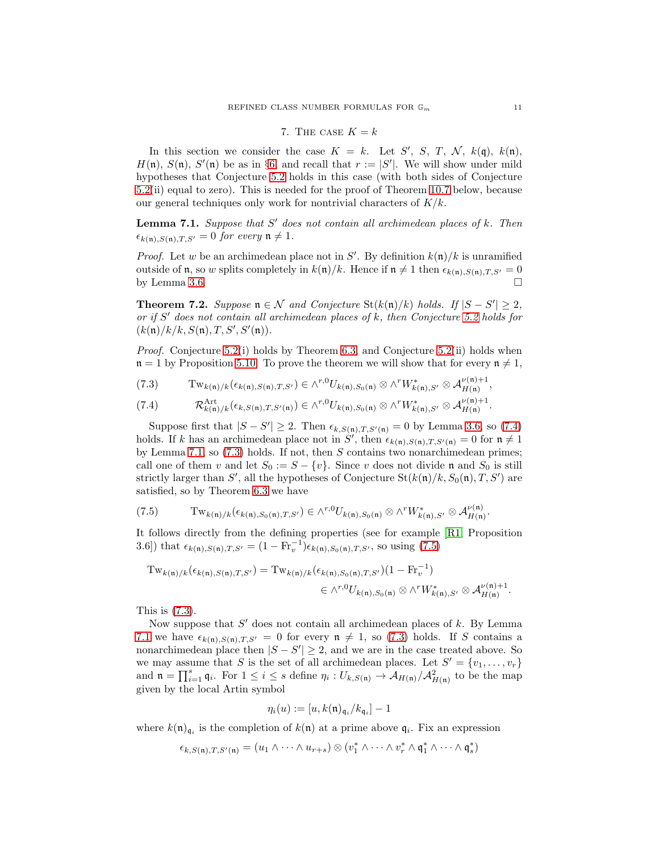### 7. THE CASE  $K = k$

<span id="page-10-0"></span>In this section we consider the case  $K = k$ . Let S', S, T, N,  $k(\mathfrak{q})$ ,  $k(\mathfrak{n})$ ,  $H(\mathfrak{n})$ ,  $S(\mathfrak{n})$ ,  $S'(\mathfrak{n})$  be as in §[6,](#page-8-0) and recall that  $r := |S'|$ . We will show under mild hypotheses that Conjecture [5.2](#page-6-1) holds in this case (with both sides of Conjecture [5.2\(](#page-6-1)ii) equal to zero). This is needed for the proof of Theorem [10.7](#page-17-1) below, because our general techniques only work for nontrivial characters of  $K/k$ .

<span id="page-10-2"></span>Lemma 7.1. *Suppose that* S ′ *does not contain all archimedean places of* k*. Then*  $\epsilon_{k(\mathfrak{n}),S(\mathfrak{n}),T,S'} = 0$  *for every*  $\mathfrak{n} \neq 1$ *.* 

*Proof.* Let w be an archimedean place not in  $S'$ . By definition  $k(\mathfrak{n})/k$  is unramified outside of  $\mathfrak n$ , so w splits completely in  $k(\mathfrak n)/k$ . Hence if  $\mathfrak n \neq 1$  then  $\epsilon_{k(\mathfrak n),S(\mathfrak n),T,S'} = 0$ by Lemma [3.6.](#page-4-5)  $\Box$ 

<span id="page-10-5"></span>Theorem 7.2. *Suppose*  $\mathfrak{n} \in \mathcal{N}$  *and Conjecture* St $(k(\mathfrak{n})/k)$  *holds.* If  $|S - S'| \geq 2$ , *or if* S ′ *does not contain all archimedean places of* k*, then Conjecture [5.2](#page-6-1) holds for*  $(k(\mathfrak{n})/k/k, S(\mathfrak{n}), T, S', S'(\mathfrak{n})).$ 

*Proof.* Conjecture [5.2\(](#page-6-1)i) holds by Theorem [6.3,](#page-9-0) and Conjecture 5.2(ii) holds when  $n = 1$  by Proposition [5.10.](#page-8-2) To prove the theorem we will show that for every  $n \neq 1$ ,

<span id="page-10-3"></span>
$$
(7.3) \qquad \mathrm{Tw}_{k(\mathfrak{n})/k}(\epsilon_{k(\mathfrak{n}),S(\mathfrak{n}),T,S'})\in \wedge^{r,0}U_{k(\mathfrak{n}),S_0(\mathfrak{n})}\otimes \wedge^r W^*_{k(\mathfrak{n}),S'}\otimes \mathcal{A}_{H(\mathfrak{n})}^{\nu(\mathfrak{n})+1},
$$

<span id="page-10-1"></span>
$$
(7.4) \qquad \mathcal{R}_{k(\mathfrak{n})/k}^{\text{Art}}(\epsilon_{k,S(\mathfrak{n}),T,S'(\mathfrak{n})}) \in \wedge^{r,0} U_{k(\mathfrak{n}),S_0(\mathfrak{n})} \otimes \wedge^r W_{k(\mathfrak{n}),S'}^* \otimes \mathcal{A}_{H(\mathfrak{n})}^{\nu(\mathfrak{n})+1}.
$$

Suppose first that  $|S - S'| \ge 2$ . Then  $\epsilon_{k,S(n),T,S'(n)} = 0$  by Lemma [3.6,](#page-4-5) so [\(7.4\)](#page-10-1) holds. If k has an archimedean place not in S', then  $\epsilon_{k(n),S(n),T,S'(n)} = 0$  for  $n \neq 1$ by Lemma [7.1,](#page-10-2) so  $(7.3)$  holds. If not, then S contains two nonarchimedean primes; call one of them v and let  $S_0 := S - \{v\}$ . Since v does not divide n and  $S_0$  is still strictly larger than S', all the hypotheses of Conjecture  $St(k(n)/k, S_0(n), T, S')$  are satisfied, so by Theorem [6.3](#page-9-0) we have

<span id="page-10-4"></span>
$$
(7.5) \qquad \mathrm{Tw}_{k(\mathfrak{n})/k}(\epsilon_{k(\mathfrak{n}),S_0(\mathfrak{n}),T,S'}) \in \wedge^{r,0} U_{k(\mathfrak{n}),S_0(\mathfrak{n})} \otimes \wedge^r W^*_{k(\mathfrak{n}),S'} \otimes \mathcal{A}_{H(\mathfrak{n})}^{\nu(\mathfrak{n})}.
$$

It follows directly from the defining properties (see for example [\[R1,](#page-21-10) Proposition 3.6]) that  $\epsilon_{k(\mathfrak{n}),S(\mathfrak{n}),T,S'} = (1 - \text{Fr}_v^{-1}) \epsilon_{k(\mathfrak{n}),S_0(\mathfrak{n}),T,S'}$ , so using [\(7.5\)](#page-10-4)

$$
\mathrm{Tw}_{k(\mathfrak{n})/k}(\epsilon_{k(\mathfrak{n}),S(\mathfrak{n}),T,S'}) = \mathrm{Tw}_{k(\mathfrak{n})/k}(\epsilon_{k(\mathfrak{n}),S_0(\mathfrak{n}),T,S'}) (1 - \mathrm{Fr}_v^{-1})
$$
  

$$
\in \wedge^{r,0} U_{k(\mathfrak{n}),S_0(\mathfrak{n})} \otimes \wedge^r W_{k(\mathfrak{n}),S'}^* \otimes \mathcal{A}_{H(\mathfrak{n})}^{\nu(\mathfrak{n})+1}.
$$

This is [\(7.3\)](#page-10-3).

Now suppose that  $S'$  does not contain all archimedean places of  $k$ . By Lemma [7.1](#page-10-2) we have  $\epsilon_{k(n),S(n),T,S'} = 0$  for every  $n \neq 1$ , so [\(7.3\)](#page-10-3) holds. If S contains a nonarchimedean place then  $|S - S'| \geq 2$ , and we are in the case treated above. So we may assume that S is the set of all archimedean places. Let  $S' = \{v_1, \ldots, v_r\}$ and  $\mathfrak{n} = \prod_{i=1}^s \mathfrak{q}_i$ . For  $1 \leq i \leq s$  define  $\eta_i : U_{k,S(\mathfrak{n})} \to \mathcal{A}_{H(\mathfrak{n})}/\mathcal{A}_{H(\mathfrak{n})}^2$  to be the map given by the local Artin symbol

$$
\eta_i(u):=[u,k(\mathfrak{n})_{\mathfrak{q}_i}/k_{\mathfrak{q}_i}]-1
$$

where  $k(\mathfrak{n})_{\mathfrak{q}_i}$  is the completion of  $k(\mathfrak{n})$  at a prime above  $\mathfrak{q}_i$ . Fix an expression

$$
\epsilon_{k,S(\mathfrak{n}),T,S'(\mathfrak{n})}=(u_1\wedge\cdots\wedge u_{r+s})\otimes(v_1^*\wedge\cdots\wedge v_r^*\wedge\mathfrak{q}_1^*\wedge\cdots\wedge\mathfrak{q}_s^*)
$$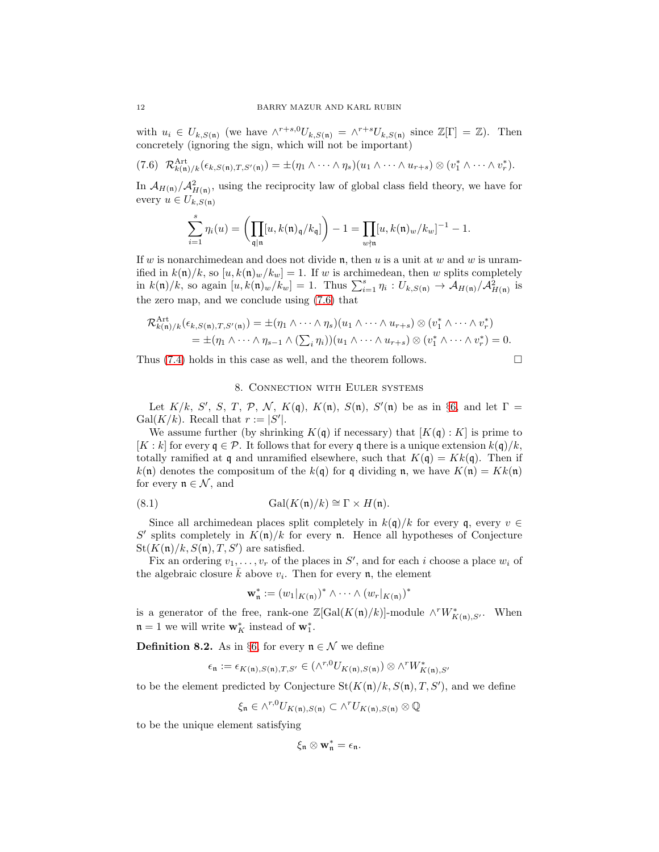with  $u_i \in U_{k,S(n)}$  (we have  $\wedge^{r+s,0} U_{k,S(n)} = \wedge^{r+s} U_{k,S(n)}$  since  $\mathbb{Z}[\Gamma] = \mathbb{Z}$ ). Then concretely (ignoring the sign, which will not be important)

<span id="page-11-1"></span>
$$
(7.6) \ \mathcal{R}_{k(\mathfrak{n})/k}^{\mathrm{Art}}(\epsilon_{k,S(\mathfrak{n}),T,S'(\mathfrak{n})}) = \pm(\eta_1 \wedge \cdots \wedge \eta_s)(u_1 \wedge \cdots \wedge u_{r+s}) \otimes (v_1^* \wedge \cdots \wedge v_r^*).
$$

In  $\mathcal{A}_{H(\mathfrak{n})}/\mathcal{A}_{H(\mathfrak{n})}^2$ , using the reciprocity law of global class field theory, we have for every  $u \in U_{k,S(n)}$ 

$$
\sum_{i=1}^{s} \eta_i(u) = \left(\prod_{\mathfrak{q} \mid \mathfrak{n}} [u, k(\mathfrak{n})_{\mathfrak{q}} / k_{\mathfrak{q}}] \right) - 1 = \prod_{w \nmid \mathfrak{n}} [u, k(\mathfrak{n})_w / k_w]^{-1} - 1.
$$

If w is nonarchimedean and does not divide n, then u is a unit at w and w is unramified in  $k(\mathfrak{n})/k$ , so  $[u, k(\mathfrak{n})_w/k_w] = 1$ . If w is archimedean, then w splits completely in  $k(\mathfrak{n})/k$ , so again  $[u, k(\mathfrak{n})_w/k_w] = 1$ . Thus  $\sum_{i=1}^s \eta_i : U_{k,S(\mathfrak{n})} \to \mathcal{A}_{H(\mathfrak{n})}/\mathcal{A}_{H(\mathfrak{n})}^2$  is the zero map, and we conclude using [\(7.6\)](#page-11-1) that

$$
\mathcal{R}_{k(\mathfrak{n})/k}^{\mathrm{Art}}(\epsilon_{k,S(\mathfrak{n}),T,S'(\mathfrak{n})}) = \pm (\eta_1 \wedge \cdots \wedge \eta_s)(u_1 \wedge \cdots \wedge u_{r+s}) \otimes (v_1^* \wedge \cdots \wedge v_r^*)
$$
  
=  $\pm (\eta_1 \wedge \cdots \wedge \eta_{s-1} \wedge (\sum_i \eta_i))(u_1 \wedge \cdots \wedge u_{r+s}) \otimes (v_1^* \wedge \cdots \wedge v_r^*) = 0.$ 

<span id="page-11-0"></span>Thus [\(7.4\)](#page-10-1) holds in this case as well, and the theorem follows.

$$
\qquad \qquad \Box
$$

# 8. Connection with Euler systems

Let  $K/k$ , S', S, T, P, N,  $K(\mathfrak{q})$ ,  $K(\mathfrak{n})$ ,  $S(\mathfrak{n})$ ,  $S'(\mathfrak{n})$  be as in §[6,](#page-8-0) and let  $\Gamma =$ Gal $(K/k)$ . Recall that  $r := |S'|$ .

We assume further (by shrinking  $K(q)$  if necessary) that  $[K(q):K]$  is prime to  $[K : k]$  for every  $\mathfrak{g} \in \mathcal{P}$ . It follows that for every  $\mathfrak{g}$  there is a unique extension  $k(\mathfrak{g})/k$ , totally ramified at q and unramified elsewhere, such that  $K(q) = Kk(q)$ . Then if  $k(\mathfrak{n})$  denotes the compositum of the  $k(\mathfrak{q})$  for q dividing  $\mathfrak{n}$ , we have  $K(\mathfrak{n}) = Kk(\mathfrak{n})$ for every  $\mathfrak{n} \in \mathcal{N}$ , and

(8.1) 
$$
\operatorname{Gal}(K(\mathfrak{n})/k) \cong \Gamma \times H(\mathfrak{n}).
$$

Since all archimedean places split completely in  $k(\mathfrak{q})/k$  for every  $\mathfrak{q}$ , every  $v \in$ S' splits completely in  $K(\mathfrak{n})/k$  for every n. Hence all hypotheses of Conjecture  $St(K(n)/k, S(n), T, S')$  are satisfied.

Fix an ordering  $v_1, \ldots, v_r$  of the places in S', and for each i choose a place  $w_i$  of the algebraic closure  $\bar{k}$  above  $v_i$ . Then for every **n**, the element

<span id="page-11-2"></span>
$$
\mathbf{w}_{\mathfrak{n}}^* := (w_1|_{K(\mathfrak{n})})^* \wedge \cdots \wedge (w_r|_{K(\mathfrak{n})})^*
$$

is a generator of the free, rank-one  $\mathbb{Z}[\text{Gal}(K(\mathfrak{n})/k)]$ -module  $\wedge^r W^*_{K(\mathfrak{n}),S'}$ . When  $\mathfrak{n} = 1$  we will write  $\mathbf{w}_K^*$  instead of  $\mathbf{w}_1^*$ .

<span id="page-11-3"></span>**Definition 8.2.** As in §[6,](#page-8-0) for every  $\mathfrak{n} \in \mathcal{N}$  we define

$$
\epsilon_{\mathfrak{n}} := \epsilon_{K(\mathfrak{n}),S(\mathfrak{n}),T,S'} \in (\wedge^{r,0} U_{K(\mathfrak{n}),S(\mathfrak{n})}) \otimes \wedge^r W^*_{K(\mathfrak{n}),S'}
$$

to be the element predicted by Conjecture  $\text{St}(K(\mathfrak{n})/k, S(\mathfrak{n}), T, S')$ , and we define

$$
\xi_{\mathfrak{n}} \in \wedge^{r,0} U_{K(\mathfrak{n}),S(\mathfrak{n})} \subset \wedge^r U_{K(\mathfrak{n}),S(\mathfrak{n})} \otimes \mathbb{Q}
$$

to be the unique element satisfying

$$
\xi_{\mathfrak n}\otimes {\bf w}_{\mathfrak n}^*=\epsilon_{\mathfrak n}.
$$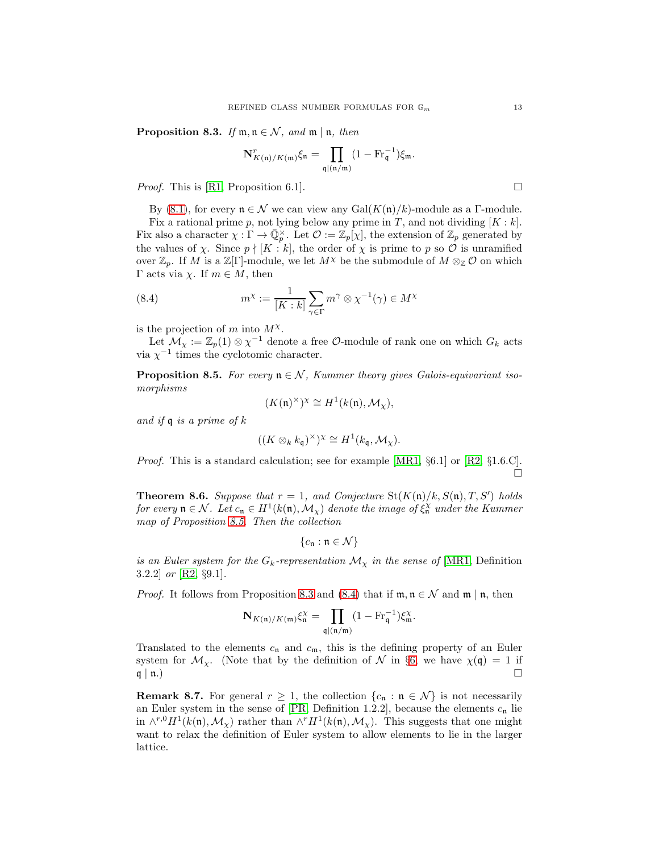<span id="page-12-1"></span>**Proposition 8.3.** *If*  $m, n \in \mathcal{N}$ *, and*  $m | n$ *, then* 

$$
\mathbf{N}_{K(\mathfrak{n})/K(\mathfrak{m})}^r \xi_{\mathfrak{n}} = \prod_{\mathfrak{q} \mid (\mathfrak{n}/\mathfrak{m})} (1 - \mathrm{Fr}_{\mathfrak{q}}^{-1}) \xi_{\mathfrak{m}}.
$$

*Proof.* This is [\[R1,](#page-21-10) Proposition 6.1].

By [\(8.1\)](#page-11-2), for every  $\mathfrak{n} \in \mathcal{N}$  we can view any Gal( $K(\mathfrak{n})/k$ )-module as a Γ-module.

Fix a rational prime p, not lying below any prime in T, and not dividing  $[K : k]$ . Fix also a character  $\chi : \Gamma \to \bar{\mathbb{Q}}_p^{\times}$ . Let  $\mathcal{O} := \mathbb{Z}_p[\chi]$ , the extension of  $\mathbb{Z}_p$  generated by the values of  $\chi$ . Since  $p \nmid [K : k]$ , the order of  $\chi$  is prime to p so O is unramified over  $\mathbb{Z}_p$ . If M is a  $\mathbb{Z}[\Gamma]$ -module, we let  $M^{\chi}$  be the submodule of  $M \otimes_{\mathbb{Z}} \mathcal{O}$  on which Γ acts via  $\chi$ . If  $m \in M$ , then

<span id="page-12-2"></span>(8.4) 
$$
m^{\chi} := \frac{1}{[K:k]} \sum_{\gamma \in \Gamma} m^{\gamma} \otimes \chi^{-1}(\gamma) \in M^{\chi}
$$

is the projection of m into  $M^{\chi}$ .

Let  $\mathcal{M}_{\chi} := \mathbb{Z}_p(1) \otimes \chi^{-1}$  denote a free  $\mathcal{O}$ -module of rank one on which  $G_k$  acts via  $\chi^{-1}$  times the cyclotomic character.

<span id="page-12-0"></span>**Proposition 8.5.** For every  $\mathfrak{n} \in \mathcal{N}$ , Kummer theory gives Galois-equivariant iso*morphisms*

$$
(K(\mathfrak{n})^{\times})^{\chi} \cong H^{1}(k(\mathfrak{n}), \mathcal{M}_{\chi}),
$$

*and if* q *is a prime of* k

$$
((K \otimes_k k_{\mathfrak{q}})^{\times})^{\chi} \cong H^1(k_{\mathfrak{q}}, \mathcal{M}_{\chi}).
$$

*Proof.* This is a standard calculation; see for example [\[MR1,](#page-21-6) §6.1] or [\[R2,](#page-21-15) §1.6.C]. П

<span id="page-12-3"></span>**Theorem 8.6.** Suppose that  $r = 1$ , and Conjecture  $\text{St}(K(\mathfrak{n})/k, S(\mathfrak{n}), T, S')$  holds *for every*  $\mathfrak{n} \in \mathcal{N}$ . Let  $c_{\mathfrak{n}} \in H^1(k(\mathfrak{n}), \mathcal{M}_\chi)$  denote the image of  $\xi_{\mathfrak{n}}^\chi$  under the Kummer *map of Proposition [8.5.](#page-12-0) Then the collection*

$$
\{c_{\mathfrak{n}} : \mathfrak{n} \in \mathcal{N}\}
$$

*is an Euler system for the*  $G_k$ -representation  $\mathcal{M}_{\chi}$  *in the sense of* [\[MR1,](#page-21-6) Definition 3.2.2] *or* [\[R2,](#page-21-15) §9.1]*.*

*Proof.* It follows from Proposition [8.3](#page-12-1) and [\(8.4\)](#page-12-2) that if  $\mathfrak{m}, \mathfrak{n} \in \mathcal{N}$  and  $\mathfrak{m} \mid \mathfrak{n}$ , then

$$
\mathbf{N}_{K(\mathfrak{n})/K(\mathfrak{m})}\xi_{\mathfrak{n}}^{\chi}=\prod_{\mathfrak{q}\mid(\mathfrak{n}/\mathfrak{m})}(1-\mathrm{Fr}_{\mathfrak{q}}^{-1})\xi_{\mathfrak{m}}^{\chi}.
$$

Translated to the elements  $c_n$  and  $c_m$ , this is the defining property of an Euler system for  $\mathcal{M}_{\chi}$ . (Note that by the definition of N in §[6,](#page-8-0) we have  $\chi(\mathfrak{q}) = 1$  if  $\mathfrak{q} \mid \mathfrak{n}$ .)

**Remark 8.7.** For general  $r \geq 1$ , the collection  $\{c_n : n \in \mathcal{N}\}\)$  is not necessarily an Euler system in the sense of [\[PR,](#page-21-16) Definition 1.2.2], because the elements  $c_n$  lie in  $\wedge^{r,0} H^1(k(\mathfrak{n}), \mathcal{M}_\chi)$  rather than  $\wedge^r H^1(k(\mathfrak{n}), \mathcal{M}_\chi)$ . This suggests that one might want to relax the definition of Euler system to allow elements to lie in the larger lattice.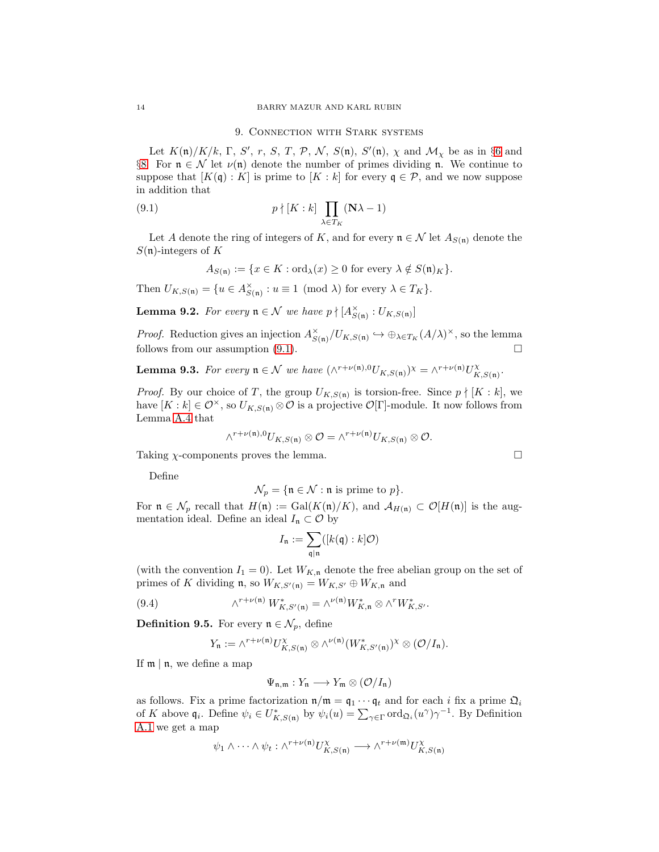### <span id="page-13-1"></span>9. Connection with Stark systems

<span id="page-13-0"></span>Let  $K(\mathfrak{n})/K/k$ , Γ, S', r, S, T, P, N, S( $\mathfrak{n}$ ), S'( $\mathfrak{n}$ ),  $\chi$  and  $\mathcal{M}_{\chi}$  be as in §[6](#page-8-0) and §[8.](#page-11-0) For  $\mathfrak{n} \in \mathcal{N}$  let  $\nu(\mathfrak{n})$  denote the number of primes dividing **n**. We continue to suppose that  $[K(q): K]$  is prime to  $[K: k]$  for every  $q \in \mathcal{P}$ , and we now suppose in addition that

(9.1) 
$$
p \nmid [K:k] \prod_{\lambda \in T_K} (N\lambda - 1)
$$

Let A denote the ring of integers of K, and for every  $\mathfrak{n} \in \mathcal{N}$  let  $A_{S(\mathfrak{n})}$  denote the  $S(\mathfrak{n})$ -integers of K

$$
A_{S(\mathfrak{n})} := \{ x \in K : \text{ord}_{\lambda}(x) \ge 0 \text{ for every } \lambda \notin S(\mathfrak{n})_K \}.
$$

Then 
$$
U_{K,S(\mathfrak{n})} = \{ u \in A_{S(\mathfrak{n})}^{\times} : u \equiv 1 \pmod{\lambda} \text{ for every } \lambda \in T_K \}.
$$

<span id="page-13-3"></span>**Lemma 9.2.** For every  $\mathfrak{n} \in \mathcal{N}$  we have  $p \nmid [A_{S(\mathfrak{n})}^{\times} : U_{K,S(\mathfrak{n})}]$ 

*Proof.* Reduction gives an injection  $A_{S(n)}^{\times}/U_{K,S(n)} \hookrightarrow \bigoplus_{\lambda \in T_K} (A/\lambda)^{\times}$ , so the lemma follows from our assumption  $(9.1)$ .

<span id="page-13-2"></span>**Lemma 9.3.** For every 
$$
\mathfrak{n} \in \mathcal{N}
$$
 we have  $(\wedge^{r+\nu(\mathfrak{n}),0} U_{K,S(\mathfrak{n})})^{\chi} = \wedge^{r+\nu(\mathfrak{n})} U_{K,S(\mathfrak{n})}^{\chi}.$ 

*Proof.* By our choice of T, the group  $U_{K,S(n)}$  is torsion-free. Since  $p \nmid [K:k]$ , we have  $[K : k] \in \mathcal{O}^{\times}$ , so  $U_{K,S(n)} \otimes \mathcal{O}$  is a projective  $\mathcal{O}[\Gamma]$ -module. It now follows from Lemma [A.4](#page-20-3) that

$$
\wedge^{r+\nu(\mathfrak{n}),0}U_{K,S(\mathfrak{n})}\otimes\mathcal{O}=\wedge^{r+\nu(\mathfrak{n})}U_{K,S(\mathfrak{n})}\otimes\mathcal{O}.
$$

Taking  $\chi$ -components proves the lemma.

Define

$$
\mathcal{N}_p = \{ \mathfrak{n} \in \mathcal{N} : \mathfrak{n} \text{ is prime to } p \}.
$$

For  $\mathfrak{n} \in \mathcal{N}_p$  recall that  $H(\mathfrak{n}) := \text{Gal}(K(\mathfrak{n})/K)$ , and  $\mathcal{A}_{H(\mathfrak{n})} \subset \mathcal{O}[H(\mathfrak{n})]$  is the augmentation ideal. Define an ideal  $I_n \subset \mathcal{O}$  by

$$
I_{\mathfrak{n}}:=\sum_{\mathfrak{q}|\mathfrak{n}}([k(\mathfrak{q}):k]\mathcal{O})
$$

(with the convention  $I_1 = 0$ ). Let  $W_{K,\mathfrak{n}}$  denote the free abelian group on the set of primes of K dividing n, so  $W_{K,S'(n)} = W_{K,S'} \oplus W_{K,n}$  and

(9.4) 
$$
\wedge^{r+\nu(\mathfrak{n})} W^*_{K,S'(\mathfrak{n})} = \wedge^{\nu(\mathfrak{n})} W^*_{K,\mathfrak{n}} \otimes \wedge^r W^*_{K,S'}.
$$

**Definition 9.5.** For every  $\mathfrak{n} \in \mathcal{N}_p$ , define

<span id="page-13-4"></span>
$$
Y_{\mathfrak{n}} := \wedge^{r+\nu(\mathfrak{n})} U_{K,S(\mathfrak{n})}^{\chi} \otimes \wedge^{\nu(\mathfrak{n})} (W_{K,S'(\mathfrak{n})}^*)^{\chi} \otimes (\mathcal{O}/I_{\mathfrak{n}}).
$$

If  $m \mid n$ , we define a map

$$
\Psi_{\mathfrak{n},\mathfrak{m}}:Y_{\mathfrak{n}}\longrightarrow Y_{\mathfrak{m}}\otimes (\mathcal{O}/I_{\mathfrak{n}})
$$

as follows. Fix a prime factorization  $n/m = q_1 \cdots q_t$  and for each i fix a prime  $\mathfrak{Q}_i$ of K above  $\mathfrak{q}_i$ . Define  $\psi_i \in U^*_{K,S(\mathfrak{n})}$  by  $\psi_i(u) = \sum_{\gamma \in \Gamma} \text{ord}_{\mathfrak{Q}_i}(u^{\gamma})\gamma^{-1}$ . By Definition [A.1](#page-20-4) we get a map

$$
\psi_1 \wedge \cdots \wedge \psi_t : \wedge^{r+\nu(\mathfrak{n})} U_{K,S(\mathfrak{n})}^{\chi} \longrightarrow \wedge^{r+\nu(\mathfrak{m})} U_{K,S(\mathfrak{n})}^{\chi}
$$

$$
\Box
$$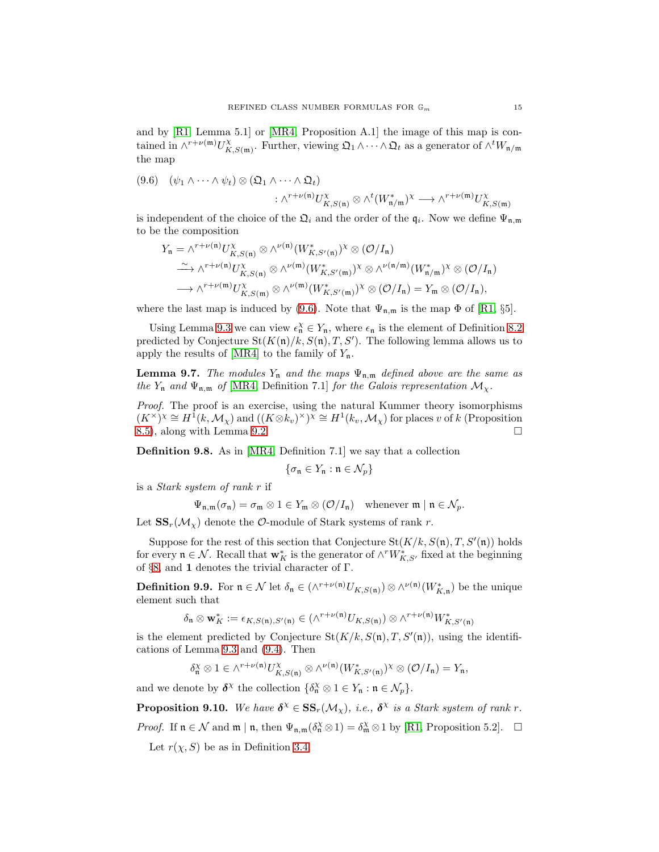and by  $[R1, Lemma 5.1]$  or  $[MR4, Proposition A.1]$  the image of this map is contained in  $\wedge^{r+\nu(\mathfrak{m})}U_K^{\chi}$  $\chi_{K,S(\mathfrak{m})}^{\chi}$ . Further, viewing  $\mathfrak{Q}_1 \wedge \cdots \wedge \mathfrak{Q}_t$  as a generator of  $\wedge^t W_{\mathfrak{n}/\mathfrak{m}}$ the map

<span id="page-14-0"></span>
$$
(9.6) \quad (\psi_1 \wedge \cdots \wedge \psi_t) \otimes (\mathfrak{Q}_1 \wedge \cdots \wedge \mathfrak{Q}_t) \\
\qquad \qquad : \wedge^{r+\nu(\mathfrak{n})} U^{\chi}_{K,S(\mathfrak{n})} \otimes \wedge^t (W^*_{\mathfrak{n}/\mathfrak{m}})^{\chi} \longrightarrow \wedge^{r+\nu(\mathfrak{m})} U^{\chi}_{K,S(\mathfrak{m})}
$$

is independent of the choice of the  $\mathfrak{Q}_i$  and the order of the  $\mathfrak{q}_i$ . Now we define  $\Psi_{\mathfrak{n},\mathfrak{m}}$ to be the composition

$$
Y_{n} = \wedge^{r+\nu(n)} U_{K,S(n)}^{\chi} \otimes \wedge^{\nu(n)} (W_{K,S'(n)}^{*})^{\chi} \otimes (\mathcal{O}/I_{n})
$$
  
\n
$$
\xrightarrow{\sim} \wedge^{r+\nu(n)} U_{K,S(n)}^{\chi} \otimes \wedge^{\nu(m)} (W_{K,S'(m)}^{*})^{\chi} \otimes \wedge^{\nu(n/m)} (W_{n/m}^{*})^{\chi} \otimes (\mathcal{O}/I_{n})
$$
  
\n
$$
\longrightarrow \wedge^{r+\nu(m)} U_{K,S(m)}^{\chi} \otimes \wedge^{\nu(m)} (W_{K,S'(m)}^{*})^{\chi} \otimes (\mathcal{O}/I_{n}) = Y_{m} \otimes (\mathcal{O}/I_{n}),
$$

where the last map is induced by [\(9.6\)](#page-14-0). Note that  $\Psi_{n,m}$  is the map  $\Phi$  of [\[R1,](#page-21-10) §5].

Using Lemma [9.3](#page-13-2) we can view  $\epsilon_n^{\chi} \in Y_n$ , where  $\epsilon_n$  is the element of Definition [8.2](#page-11-3) predicted by Conjecture  $\text{St}(K(\mathfrak{n})/k, S(\mathfrak{n}), T, S')$ . The following lemma allows us to apply the results of [\[MR4\]](#page-21-9) to the family of  $Y_n$ .

**Lemma 9.7.** *The modules*  $Y_n$  *and the maps*  $\Psi_{n,m}$  *defined above are the same as the*  $Y_n$  *and*  $\Psi_{n,m}$  *of* [\[MR4,](#page-21-9) Definition 7.1] *for the Galois representation*  $\mathcal{M}_{\chi}$ .

*Proof.* The proof is an exercise, using the natural Kummer theory isomorphisms  $(K^{\times})^{\chi} \cong H^{\hat{1}}(k, \mathcal{M}_{\chi})$  and  $((K \otimes k_v)^{\times})^{\chi} \cong H^{\hat{1}}(k_v, \mathcal{M}_{\chi})$  for places v of k (Proposition [8.5\)](#page-12-0), along with Lemma [9.2.](#page-13-3)

Definition 9.8. As in [\[MR4,](#page-21-9) Definition 7.1] we say that a collection

$$
\{\sigma_{\mathfrak{n}} \in Y_{\mathfrak{n}} : \mathfrak{n} \in \mathcal{N}_p\}
$$

is a *Stark system of rank* r if

$$
\Psi_{\mathfrak{n},\mathfrak{m}}(\sigma_{\mathfrak{n}})=\sigma_{\mathfrak{m}}\otimes 1\in Y_{\mathfrak{m}}\otimes (\mathcal{O}/I_{\mathfrak{n}})\quad \text{whenever } \mathfrak{m}\mid \mathfrak{n}\in \mathcal{N}_p.
$$

Let  $SS_r(\mathcal{M}_\chi)$  denote the  $\mathcal{O}\text{-module}$  of Stark systems of rank r.

Suppose for the rest of this section that Conjecture  $St(K/k, S(n), T, S'(n))$  holds for every  $\mathfrak{n} \in \mathcal{N}$ . Recall that  $\mathbf{w}_K^*$  is the generator of  $\wedge^r W_{K,S'}^*$  fixed at the beginning of §[8,](#page-11-0) and 1 denotes the trivial character of  $\Gamma$ .

<span id="page-14-1"></span>**Definition 9.9.** For  $\mathfrak{n} \in \mathcal{N}$  let  $\delta_{\mathfrak{n}} \in (\wedge^{r+\nu(\mathfrak{n})} U_{K,S(\mathfrak{n})}) \otimes \wedge^{\nu(\mathfrak{n})} (W_{K,\mathfrak{n}}^*)$  be the unique element such that

$$
\delta_{\mathfrak{n}} \otimes \mathbf{w}_K^* := \epsilon_{K,S(\mathfrak{n}),S'(\mathfrak{n})} \in (\wedge^{r+\nu(\mathfrak{n})} U_{K,S(\mathfrak{n})}) \otimes \wedge^{r+\nu(\mathfrak{n})} W_{K,S'(\mathfrak{n})}^*
$$

is the element predicted by Conjecture  $St(K/k, S(n), T, S'(n))$ , using the identifications of Lemma [9.3](#page-13-2) and [\(9.4\)](#page-13-4). Then

$$
\delta_{\mathfrak{n}}^{\chi}\otimes 1\in \wedge^{r+\nu(\mathfrak{n})}U_{K,S(\mathfrak{n})}^{\chi}\otimes \wedge^{\nu(\mathfrak{n})}(W_{K,S'(\mathfrak{n})}^{*})^{\chi}\otimes (\mathcal{O}/I_{\mathfrak{n}})=Y_{\mathfrak{n}},
$$

and we denote by  $\delta^{\chi}$  the collection  $\{\delta_n^{\chi} \otimes 1 \in Y_n : n \in \mathcal{N}_p\}.$ 

**Proposition 9.10.** We have  $\delta^{\chi} \in SS_r(\mathcal{M}_{\chi})$ , i.e.,  $\delta^{\chi}$  is a Stark system of rank r. *Proof.* If  $\mathfrak{n} \in \mathcal{N}$  and  $\mathfrak{m} \mid \mathfrak{n}$ , then  $\Psi_{\mathfrak{n},\mathfrak{m}}(\delta_{\mathfrak{n}}^{\chi} \otimes 1) = \delta_{\mathfrak{m}}^{\chi} \otimes 1$  by [\[R1,](#page-21-10) Proposition 5.2].  $\Box$ 

Let  $r(\chi, S)$  be as in Definition [3.4.](#page-3-0)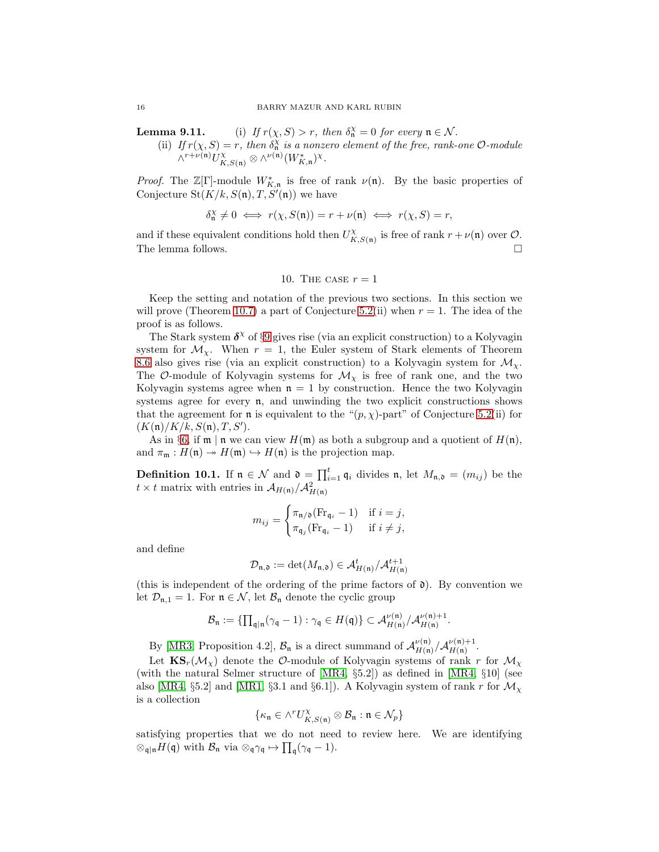**Lemma 9.11.** (i) *If*  $r(\chi, S) > r$ *, then*  $\delta_n^X = 0$  *for every*  $n \in \mathcal{N}$ *.* 

(ii) If  $r(\chi, S) = r$ , then  $\delta_n^{\chi}$  is a nonzero element of the free, rank-one  $\mathcal{O}\text{-module}$  $\wedge^{r+\nu(\mathfrak{n})} U_{K,S(\mathfrak{n})}^{\chi} \otimes \wedge^{\nu(\mathfrak{n})} (W_{K,\mathfrak{n}}^*)^{\chi}.$ 

*Proof.* The  $\mathbb{Z}[\Gamma]$ -module  $W_{K,n}^*$  is free of rank  $\nu(\mathfrak{n})$ . By the basic properties of Conjecture  $\text{St}(K/k, S(\mathfrak{n}), T, S'(\mathfrak{n}))$  we have

$$
\delta_{\mathfrak{n}}^{\chi}\neq 0 \iff r(\chi,S(\mathfrak{n}))=r+\nu(\mathfrak{n}) \iff r(\chi,S)=r,
$$

<span id="page-15-0"></span>and if these equivalent conditions hold then  $U_K^{\chi}$  $K_{K,S(\mathfrak{n})}$  is free of rank  $r+\nu(\mathfrak{n})$  over  $\mathcal{O}.$ The lemma follows.  $\Box$ 

# 10. The case  $r = 1$

Keep the setting and notation of the previous two sections. In this section we will prove (Theorem [10.7\)](#page-17-1) a part of Conjecture [5.2\(](#page-6-1)ii) when  $r = 1$ . The idea of the proof is as follows.

The Stark system  $\delta^{\chi}$  of §[9](#page-13-0) gives rise (via an explicit construction) to a Kolyvagin system for  $\mathcal{M}_{\chi}$ . When  $r = 1$ , the Euler system of Stark elements of Theorem [8.6](#page-12-3) also gives rise (via an explicit construction) to a Kolyvagin system for  $\mathcal{M}_{\chi}$ . The O-module of Kolyvagin systems for  $\mathcal{M}_{\chi}$  is free of rank one, and the two Kolyvagin systems agree when  $n = 1$  by construction. Hence the two Kolyvagin systems agree for every  $n$ , and unwinding the two explicit constructions shows that the agreement for **n** is equivalent to the " $(p, \chi)$ -part" of Conjecture [5.2\(](#page-6-1)ii) for  $(K(\mathfrak{n})/K/k, S(\mathfrak{n}), T, S').$ 

As in §[6,](#page-8-0) if  $\mathfrak{m} \mid \mathfrak{n}$  we can view  $H(\mathfrak{m})$  as both a subgroup and a quotient of  $H(\mathfrak{n})$ , and  $\pi_{\mathfrak{m}} : H(\mathfrak{n}) \to H(\mathfrak{m}) \hookrightarrow H(\mathfrak{n})$  is the projection map.

**Definition 10.1.** If  $\mathfrak{n} \in \mathcal{N}$  and  $\mathfrak{d} = \prod_{i=1}^t \mathfrak{q}_i$  divides  $\mathfrak{n}$ , let  $M_{\mathfrak{n},\mathfrak{d}} = (m_{ij})$  be the  $t \times t$  matrix with entries in  $\mathcal{A}_{H(\mathfrak{n})}/\mathcal{A}_{H(\mathfrak{n})}^2$ 

$$
m_{ij} = \begin{cases} \pi_{\mathfrak{n}/\mathfrak{d}}(\text{Fr}_{\mathfrak{q}_i} - 1) & \text{if } i = j, \\ \pi_{\mathfrak{q}_j}(\text{Fr}_{\mathfrak{q}_i} - 1) & \text{if } i \neq j, \end{cases}
$$

and define

$$
\mathcal{D}_{\mathfrak{n},\mathfrak{d}} := \det(M_{\mathfrak{n},\mathfrak{d}}) \in \mathcal{A}_{H(\mathfrak{n})}^t/\mathcal{A}_{H(\mathfrak{n})}^{t+1}
$$

(this is independent of the ordering of the prime factors of  $\mathfrak{d}$ ). By convention we let  $\mathcal{D}_{n,1} = 1$ . For  $n \in \mathcal{N}$ , let  $\mathcal{B}_n$  denote the cyclic group

$$
\mathcal{B}_{\mathfrak{n}} := \{\prod_{\mathfrak{q}|\mathfrak{n}}(\gamma_{\mathfrak{q}}-1) : \gamma_{\mathfrak{q}} \in H(\mathfrak{q})\} \subset \mathcal{A}_{H(\mathfrak{n})}^{\nu(\mathfrak{n})}/\mathcal{A}_{H(\mathfrak{n})}^{\nu(\mathfrak{n})+1}.
$$

By [\[MR3,](#page-21-5) Proposition 4.2],  $\mathcal{B}_n$  is a direct summand of  $\mathcal{A}_{H(n)}^{\nu(n)}$  $\frac{\nu(\mathfrak{n})}{H(\mathfrak{n})}/\mathcal{A}_{H(\mathfrak{n})}^{\nu(\mathfrak{n})+1}$  $H(\mathfrak{n})$   $\cdot$ 

Let  $\text{KS}_r(\mathcal{M}_\chi)$  denote the  $\mathcal{O}\text{-module}$  of Kolyvagin systems of rank r for  $\mathcal{M}_\chi$ (with the natural Selmer structure of [\[MR4,](#page-21-9) §5.2]) as defined in [\[MR4,](#page-21-9) §10] (see also [\[MR4,](#page-21-9) §5.2] and [\[MR1,](#page-21-6) §3.1 and §6.1]). A Kolyvagin system of rank r for  $\mathcal{M}_{\chi}$ is a collection

$$
\{\kappa_{\mathfrak{n}} \in \wedge^r U_{K,S(\mathfrak{n})}^{\chi} \otimes \mathcal{B}_{\mathfrak{n}} : \mathfrak{n} \in \mathcal{N}_p\}
$$

satisfying properties that we do not need to review here. We are identifying  $\otimes_{\mathfrak{q}|\mathfrak{n}} H(\mathfrak{q})$  with  $\mathcal{B}_{\mathfrak{n}}$  via  $\otimes_{\mathfrak{q}} \gamma_{\mathfrak{q}} \mapsto \prod_{\mathfrak{q}} (\gamma_{\mathfrak{q}} - 1)$ .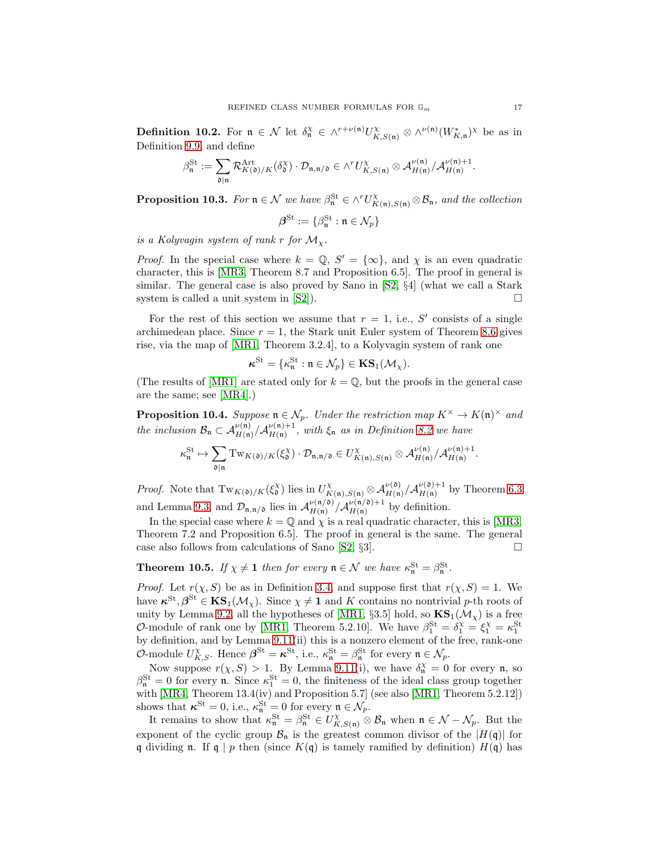<span id="page-16-2"></span>**Definition 10.2.** For  $\mathfrak{n} \in \mathcal{N}$  let  $\delta_{\mathfrak{n}}^{\chi} \in \wedge^{r+\nu(\mathfrak{n})}U^{\chi}_{K,S(\mathfrak{n})} \otimes \wedge^{\nu(\mathfrak{n})}(W_{K,\mathfrak{n}}^{*})^{\chi}$  be as in Definition [9.9,](#page-14-1) and define

$$
\beta^{\mathrm{St}}_{\mathfrak{n}}:=\sum_{\mathfrak{d} \mid \mathfrak{n}} \mathcal{R}^{\mathrm{Art}}_{K(\mathfrak{d})/K}(\delta^{\chi}_{\mathfrak{d}}) \cdot \mathcal{D}_{\mathfrak{n}, \mathfrak{n}/\mathfrak{d}} \in \wedge^{r}U_{K,S(\mathfrak{n})}^{\chi} \otimes \mathcal{A}_{H(\mathfrak{n})}^{\nu(\mathfrak{n})}/\mathcal{A}_{H(\mathfrak{n})}^{\nu(\mathfrak{n})+1}.
$$

<span id="page-16-3"></span>**Proposition 10.3.** *For*  $\mathfrak{n} \in \mathcal{N}$  *we have*  $\beta_{\mathfrak{n}}^{\mathfrak{St}} \in \wedge^r U_{K(\mathfrak{n}),S(\mathfrak{n})}^{\chi} \otimes \mathcal{B}_{\mathfrak{n}}$ *, and the collection* 

$$
\boldsymbol{\beta}^{\mathrm{St}}:=\{\beta^{\mathrm{St}}_{\mathfrak{n}}: \mathfrak{n}\in\mathcal{N}_p\}
$$

*is a Kolyvagin system of rank r for*  $\mathcal{M}_{\chi}$ .

*Proof.* In the special case where  $k = \mathbb{Q}$ ,  $S' = \{\infty\}$ , and  $\chi$  is an even quadratic character, this is [\[MR3,](#page-21-5) Theorem 8.7 and Proposition 6.5]. The proof in general is similar. The general case is also proved by Sano in [\[S2,](#page-21-17) §4] (what we call a Stark system is called a unit system in [\[S2\]](#page-21-17)).

For the rest of this section we assume that  $r = 1$ , i.e., S' consists of a single archimedean place. Since  $r = 1$ , the Stark unit Euler system of Theorem [8.6](#page-12-3) gives rise, via the map of [\[MR1,](#page-21-6) Theorem 3.2.4], to a Kolyvagin system of rank one

$$
\boldsymbol{\kappa}^{\mathrm{St}} = \{ \kappa^{\mathrm{St}}_{\mathfrak{n}} : \mathfrak{n} \in \mathcal{N}_p \} \in \textup{\textbf{KS}}_1(\mathcal{M}_\chi).
$$

(The results of [\[MR1\]](#page-21-6) are stated only for  $k = \mathbb{Q}$ , but the proofs in the general case are the same; see [\[MR4\]](#page-21-9).)

<span id="page-16-1"></span>**Proposition 10.4.** Suppose  $\mathfrak{n} \in \mathcal{N}_p$ . Under the restriction map  $K^{\times} \to K(\mathfrak{n})^{\times}$  and *the inclusion*  $\mathcal{B}_n \subset \mathcal{A}_{H(n)}^{\nu(n)}/\mathcal{A}_{H(n)}^{\nu(n)+1}$  $H_{H(n)}^{(\mathfrak{n})+1}$ , with  $\xi_{\mathfrak{n}}$  *as in Definition [8.2](#page-11-3)* we have

$$
\kappa_{\mathfrak{n}}^{\mathrm{St}} \mapsto \sum_{\mathfrak{d} \mid \mathfrak{n}} \mathrm{Tw}_{K(\mathfrak{d})/K}(\xi^{\chi}_{\mathfrak{d}}) \cdot \mathcal{D}_{\mathfrak{n}, \mathfrak{n}/\mathfrak{d}} \in U^{\chi}_{K(\mathfrak{n}), S(\mathfrak{n})} \otimes \mathcal{A}_{H(\mathfrak{n})}^{\nu(\mathfrak{n})}/\mathcal{A}_{H(\mathfrak{n})}^{\nu(\mathfrak{n})+1}.
$$

*Proof.* Note that  $Tw_{K(\mathfrak{d})/K}(\xi^{\chi}_{\mathfrak{d}})$  lies in  $U_{K(\mathfrak{n}),S(\mathfrak{n})}^{\chi} \otimes \mathcal{A}_{H(\mathfrak{n})}^{\nu(\mathfrak{d})} / \mathcal{A}_{H(\mathfrak{n})}^{\nu(\mathfrak{d})+1}$  $\frac{\nu(\mathfrak{v})+1}{H(\mathfrak{n})}$  by Theorem [6.3](#page-9-0) and Lemma [9.3,](#page-13-2) and  $\mathcal{D}_{\mathfrak{n},\mathfrak{n}/\mathfrak{d}}$  lies in  $\mathcal{A}_{H(\mathfrak{n})}^{\nu(\mathfrak{n}/\mathfrak{d})}$  $\frac{\nu(\mathfrak{n}/\mathfrak{d})}{H(\mathfrak{n})}/\mathcal{A}_{H(\mathfrak{n})}^{\nu(\mathfrak{n}/\mathfrak{d})+1}$  $H(n)$ <sup> $\nu(n)$ +1</sup> by definition.

In the special case where  $k = \mathbb{Q}$  and  $\chi$  is a real quadratic character, this is [\[MR3,](#page-21-5) Theorem 7.2 and Proposition 6.5]. The proof in general is the same. The general case also follows from calculations of Sano  $[S2, \S3]$ .

<span id="page-16-0"></span>**Theorem 10.5.** *If*  $\chi \neq 1$  *then for every*  $\mathfrak{n} \in \mathcal{N}$  *we have*  $\kappa_{\mathfrak{n}}^{\text{St}} = \beta_{\mathfrak{n}}^{\text{St}}$ *.* 

*Proof.* Let  $r(\chi, S)$  be as in Definition [3.4,](#page-3-0) and suppose first that  $r(\chi, S) = 1$ . We have  $\kappa^{St}, \beta^{St} \in KS_1(\mathcal{M}_\chi)$ . Since  $\chi \neq 1$  and K contains no nontrivial p-th roots of unity by Lemma [9.2,](#page-13-3) all the hypotheses of [\[MR1,](#page-21-6) §3.5] hold, so  $\mathbf{KS}_1(\mathcal{M}_\chi)$  is a free O-module of rank one by [\[MR1,](#page-21-6) Theorem 5.2.10]. We have  $\beta_1^{\text{St}} = \delta_1^{\text{X}} = \xi_1^{\text{X}} = \kappa_1^{\text{St}}$ by definition, and by Lemma 9.11(ii) this is a nonzero element of the free, rank-one O-module  $U_{K,S}^{\chi}$ . Hence  $\boldsymbol{\beta}^{\mathrm{St}} = \boldsymbol{\kappa}^{\mathrm{St}}$ , i.e.,  $\kappa_{\mathfrak{n}}^{\mathrm{St}} = \beta_{\mathfrak{n}}^{\mathrm{St}}$  for every  $\mathfrak{n} \in \mathcal{N}_p$ .

Now suppose  $r(\chi, S) > 1$ . By Lemma 9.11(i), we have  $\delta_n^X = 0$  for every n, so  $\beta_{\mathfrak{n}}^{\text{St}} = 0$  for every **n**. Since  $\kappa_1^{\text{St}} = 0$ , the finiteness of the ideal class group together with [\[MR4,](#page-21-9) Theorem 13.4(iv) and Proposition 5.7] (see also [\[MR1,](#page-21-6) Theorem 5.2.12]) shows that  $\kappa^{\text{St}} = 0$ , i.e.,  $\kappa^{\text{St}}_{\mathfrak{n}} = 0$  for every  $\mathfrak{n} \in \mathcal{N}_p$ .

It remains to show that  $\kappa_n^{\text{St}} = \beta_n^{\text{St}} \in U_{K,S(n)}^{\chi} \otimes \mathcal{B}_n$  when  $\mathfrak{n} \in \mathcal{N} - \mathcal{N}_p$ . But the exponent of the cyclic group  $\mathcal{B}_n$  is the greatest common divisor of the  $|H(\mathfrak{q})|$  for q dividing n. If q | p then (since  $K(q)$  is tamely ramified by definition)  $H(q)$  has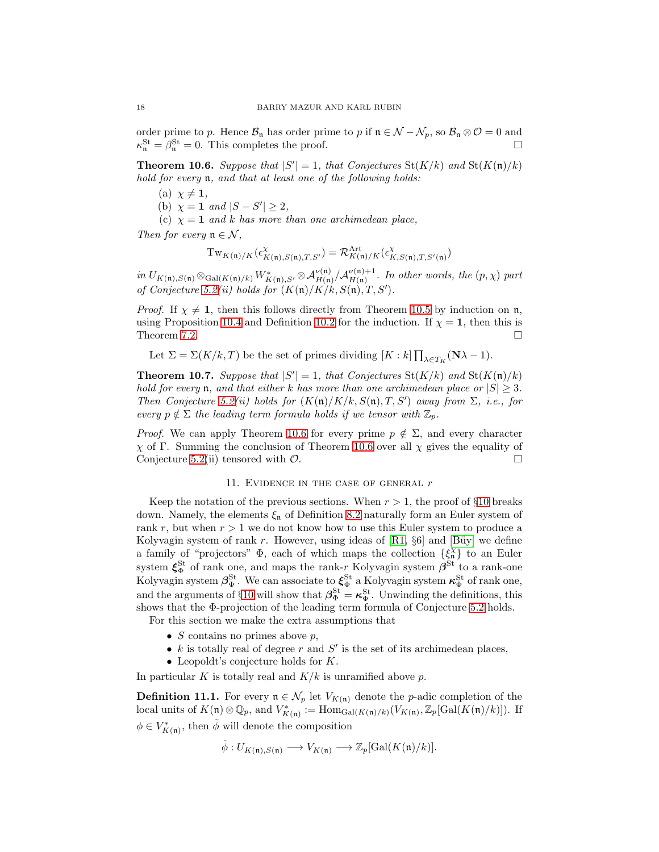order prime to p. Hence  $\mathcal{B}_n$  has order prime to p if  $\mathfrak{n} \in \mathcal{N} - \mathcal{N}_p$ , so  $\mathcal{B}_n \otimes \mathcal{O} = 0$  and  $\kappa_n^{\text{St}} = \beta_n^{\text{St}} = 0$ . This completes the proof.

<span id="page-17-2"></span>**Theorem 10.6.** Suppose that  $|S'| = 1$ , that Conjectures St( $K/k$ ) and St( $K(\mathfrak{n})/k$ ) *hold for every* n*, and that at least one of the following holds:*

- (a)  $\chi \neq 1$ ,
- (b)  $\chi = 1$  *and*  $|S S'| \geq 2$ ,
- (c)  $\chi = 1$  *and* k has more than one archimedean place,

*Then for every*  $\mathfrak{n} \in \mathcal{N}$ ,

$$
\mathrm{Tw}_{K(\mathfrak{n})/K}(\epsilon^{\chi}_{K(\mathfrak{n}),S(\mathfrak{n}),T,S'})=\mathcal{R}^{\mathrm{Art}}_{K(\mathfrak{n})/K}(\epsilon^{\chi}_{K,S(\mathfrak{n}),T,S'(\mathfrak{n})})
$$

 $\displaystyle{ {in \,} U_{K(\mathfrak{n}),S(\mathfrak{n})} \otimes_{\text{Gal}(K(\mathfrak{n})/k)} W_{K(\mathfrak{n}),S'}^{*} \otimes \mathcal{A}_{H(\mathfrak{n})}^{\nu(\mathfrak{n})} / \mathcal{A}_{H(\mathfrak{n})}^{\nu(\mathfrak{n})+1}}$  $H_{H(n)}^{(\mathfrak{m})+1}$ . In other words, the  $(p, \chi)$  part *of Conjecture* [5.2\(](#page-6-1)*ii*) holds for  $(K(\mathfrak{n})/K/k, S(\mathfrak{n}), T, S')$ .

*Proof.* If  $\chi \neq 1$ , then this follows directly from Theorem [10.5](#page-16-0) by induction on n, using Proposition [10.4](#page-16-1) and Definition [10.2](#page-16-2) for the induction. If  $\chi = 1$ , then this is Theorem [7.2.](#page-10-5)  $\Box$ 

Let 
$$
\Sigma = \Sigma(K/k, T)
$$
 be the set of primes dividing  $[K : k] \prod_{\lambda \in T_K} (\mathbf{N} \lambda - 1)$ .

<span id="page-17-1"></span>**Theorem 10.7.** Suppose that  $|S'| = 1$ , that Conjectures St( $K/k$ ) and St( $K(\mathfrak{n})/k$ ) *hold for every* **n**, and that either k has more than one archimedean place or  $|S| \geq 3$ . *Then Conjecture* [5.2\(](#page-6-1)*ii*) holds for  $(K(\mathfrak{n})/K/k, S(\mathfrak{n}), T, S')$  *away from*  $\Sigma$ *, i.e., for every*  $p \notin \Sigma$  *the leading term formula holds if we tensor with*  $\mathbb{Z}_p$ *.* 

*Proof.* We can apply Theorem [10.6](#page-17-2) for every prime  $p \notin \Sigma$ , and every character χ of Γ. Summing the conclusion of Theorem [10.6](#page-17-2) over all χ gives the equality of Conjecture [5.2\(](#page-6-1)ii) tensored with  $\mathcal{O}$ .

## 11. EVIDENCE IN THE CASE OF GENERAL  $r$

<span id="page-17-0"></span>Keep the notation of the previous sections. When  $r > 1$ , the proof of §[10](#page-15-0) breaks down. Namely, the elements  $\xi_n$  of Definition [8.2](#page-11-3) naturally form an Euler system of rank r, but when  $r > 1$  we do not know how to use this Euler system to produce a Kolyvagin system of rank r. However, using ideas of  $\left[R1, \S6\right]$  and  $\left[Bi\right]$  we define a family of "projectors"  $\Phi$ , each of which maps the collection  $\{\xi_n^{\chi}\}\$  to an Euler system  $\xi_{\Phi}^{\text{St}}$  of rank one, and maps the rank-r Kolyvagin system  $\beta^{\text{St}}$  to a rank-one Kolyvagin system  $\beta_{\Phi}^{\text{St}}$ . We can associate to  $\xi_{\Phi}^{\text{St}}$  a Kolyvagin system  $\kappa_{\Phi}^{\text{St}}$  of rank one, and the arguments of §[10](#page-15-0) will show that  $\beta_{\Phi}^{\text{St}} = \kappa_{\Phi}^{\text{St}}$ . Unwinding the definitions, this shows that the Φ-projection of the leading term formula of Conjecture [5.2](#page-6-1) holds. For this section we make the extra assumptions that

- 
- $S$  contains no primes above  $p$ ,
- $k$  is totally real of degree  $r$  and  $S'$  is the set of its archimedean places,
- Leopoldt's conjecture holds for  $K$ .

In particular K is totally real and  $K/k$  is unramified above p.

<span id="page-17-3"></span>**Definition 11.1.** For every  $\mathfrak{n} \in \mathcal{N}_p$  let  $V_{K(\mathfrak{n})}$  denote the *p*-adic completion of the local units of  $K(\mathfrak{n}) \otimes \mathbb{Q}_p$ , and  $V^*_{K(\mathfrak{n})} := \text{Hom}_{\text{Gal}(K(\mathfrak{n})/k)}(V_{K(\mathfrak{n})}, \mathbb{Z}_p[\text{Gal}(K(\mathfrak{n})/k)]).$  If  $\phi \in V_{K(\mathfrak{n})}^*$ , then  $\tilde{\phi}$  will denote the composition

$$
\tilde{\phi}: U_{K(\mathfrak{n}),S(\mathfrak{n})} \longrightarrow V_{K(\mathfrak{n})} \longrightarrow \mathbb{Z}_p[\mathrm{Gal}(K(\mathfrak{n})/k)].
$$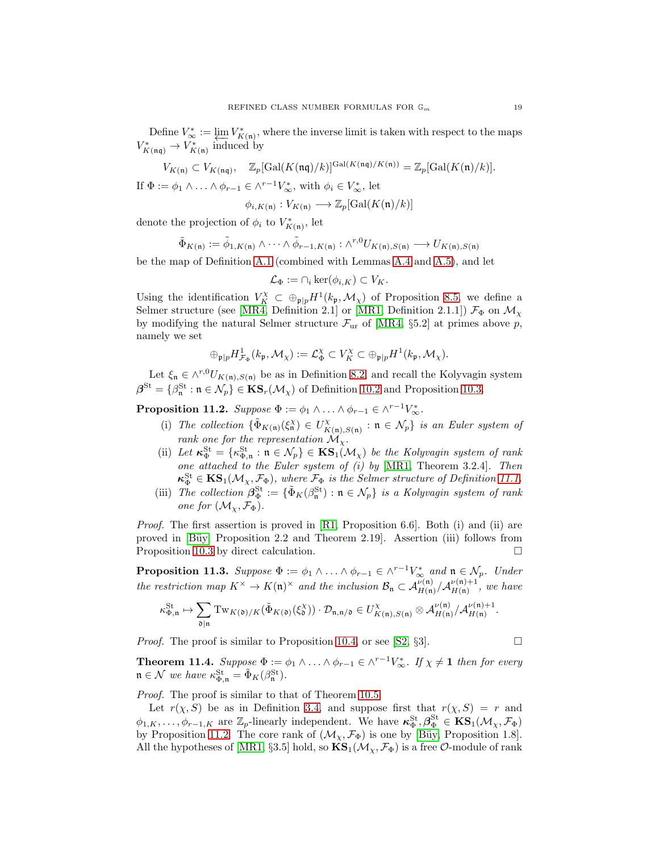Define  $V^*_{\infty} := \varprojlim V^*_{K(\mathfrak{n})}$ , where the inverse limit is taken with respect to the maps  $V^*_{K(\mathfrak{n}\mathfrak{q})} \to V^*_{K(\mathfrak{n})}$  induced by

$$
V_{K(\mathfrak{n})} \subset V_{K(\mathfrak{n}\mathfrak{q})}, \quad \mathbb{Z}_p[\text{Gal}(K(\mathfrak{n}\mathfrak{q})/k)]^{\text{Gal}(K(\mathfrak{n}\mathfrak{q})/K(\mathfrak{n}))} = \mathbb{Z}_p[\text{Gal}(K(\mathfrak{n})/k)].
$$
  
If  $\Phi := \phi_1 \wedge \ldots \wedge \phi_{r-1} \in \wedge^{r-1} V_{\infty}^*$ , with  $\phi_i \in V_{\infty}^*$ , let

 $\phi_{i,K(\mathfrak{n})}: V_{K(\mathfrak{n})} \longrightarrow \mathbb{Z}_p[\mathrm{Gal}(K(\mathfrak{n})/k)]$ 

denote the projection of  $\phi_i$  to  $V^*_{K(\mathfrak{n})}$ , let

$$
\tilde{\Phi}_{K(\mathfrak{n})} := \tilde{\phi}_{1,K(\mathfrak{n})} \wedge \cdots \wedge \tilde{\phi}_{r-1,K(\mathfrak{n})} : \wedge^{r,0} U_{K(\mathfrak{n}),S(\mathfrak{n})} \longrightarrow U_{K(\mathfrak{n}),S(\mathfrak{n})}
$$

be the map of Definition [A.1](#page-20-4) (combined with Lemmas [A.4](#page-20-3) and [A.5\)](#page-20-5), and let

$$
\mathcal{L}_{\Phi} := \cap_i \ker(\phi_{i,K}) \subset V_K.
$$

Using the identification  $V_K^{\chi} \subset \bigoplus_{\mathfrak{p} | p} H^1(k_{\mathfrak{p}}, \mathcal{M}_{\chi})$  of Proposition [8.5,](#page-12-0) we define a Selmer structure (see [\[MR4,](#page-21-9) Definition 2.1] or [\[MR1,](#page-21-6) Definition 2.1.1])  $\mathcal{F}_{\Phi}$  on  $\mathcal{M}_{\chi}$ by modifying the natural Selmer structure  $\mathcal{F}_{ur}$  of [\[MR4,](#page-21-9) §5.2] at primes above p, namely we set

$$
\oplus_{\mathfrak{p}|p} H^1_{\mathcal{F}_{\Phi}}(k_{\mathfrak{p}}, \mathcal{M}_{\chi}) := \mathcal{L}_{\Phi}^{\chi} \subset V_K^{\chi} \subset \oplus_{\mathfrak{p}|p} H^1(k_{\mathfrak{p}}, \mathcal{M}_{\chi}).
$$

Let  $\xi_n \in \wedge^{r,0} U_{K(n),S(n)}$  be as in Definition [8.2,](#page-11-3) and recall the Kolyvagin system  $\boldsymbol{\beta}^{\mathrm{St}} = \{\beta^{\mathrm{St}}_{\mathfrak{n}} : \mathfrak{n} \in \mathcal{N}_p\} \in \mathbf{KS}_r(\mathcal{M}_\chi)$  of Definition [10.2](#page-16-2) and Proposition [10.3.](#page-16-3)

<span id="page-18-0"></span>**Proposition 11.2.** *Suppose*  $\Phi := \phi_1 \wedge \ldots \wedge \phi_{r-1} \in \wedge^{r-1} V^*_{\infty}$ .

- (i) The collection  $\{\tilde{\Phi}_{K(\mathfrak{n})}(\xi_{\mathfrak{n}}^{\chi}) \in U_K^{\chi}$  $K_{K(\mathfrak{n}),S(\mathfrak{n})}$  :  $\mathfrak{n} \in \mathcal{N}_p$  *is an Euler system of rank one for the representation*  $\mathcal{M}_{\chi}$ .
- (ii) Let  $\kappa_{\Phi}^{\text{St}} = \{\kappa_{\Phi,\mathfrak{n}}^{\text{St}} : \mathfrak{n} \in \mathcal{N}_p\} \in \text{KS}_1(\mathcal{M}_\chi)$  be the Kolyvagin system of rank *one attached to the Euler system of (i) by* [\[MR1,](#page-21-6) Theorem 3.2.4]*. Then*  $\kappa_{\Phi}^{\text{St}} \in \text{KS}_{1}(\mathcal{M}_{\chi}, \mathcal{F}_{\Phi})$ , where  $\mathcal{F}_{\Phi}$  is the Selmer structure of Definition [11.1.](#page-17-3)
- (iii) *The collection*  $\beta_{\Phi}^{St} := {\{\tilde{\Phi}_K(\beta_{\mathfrak{n}}^{St}) : \mathfrak{n} \in \mathcal{N}_p\}}$  *is a Kolyvagin system of rank one for*  $(\mathcal{M}_{\gamma}, \mathcal{F}_{\Phi})$ *.*

*Proof.* The first assertion is proved in [\[R1,](#page-21-10) Proposition 6.6]. Both (i) and (ii) are proved in [\[B¨uy,](#page-21-18) Proposition 2.2 and Theorem 2.19]. Assertion (iii) follows from Proposition [10.3](#page-16-3) by direct calculation.

<span id="page-18-2"></span>**Proposition 11.3.** Suppose  $\Phi := \phi_1 \wedge \ldots \wedge \phi_{r-1} \in \wedge^{r-1} V^*_{\infty}$  and  $\mathfrak{n} \in \mathcal{N}_p$ . Under *the restriction map*  $K^{\times} \to K(\mathfrak{n})^{\times}$  *and the inclusion*  $\mathcal{B}_{\mathfrak{n}} \subset \mathcal{A}_{H(\mathfrak{n})}^{\nu(\mathfrak{n})}/\mathcal{A}_{H(\mathfrak{n})}^{\nu(\mathfrak{n})+1}$  $\frac{\nu(\mathfrak{n})+1}{H(\mathfrak{n})}$ , we have

$$
\kappa_{\Phi,\mathfrak{n}}^{St}\mapsto\sum_{\mathfrak{d}\mid\mathfrak{n}}\mathrm{Tw}_{K(\mathfrak{d})/K}(\tilde{\Phi}_{K(\mathfrak{d})}(\xi_{\mathfrak{d}}^{\chi}))\cdot\mathcal{D}_{\mathfrak{n},\mathfrak{n}/\mathfrak{d}}\in U_{K(\mathfrak{n}),S(\mathfrak{n})}^{\chi}\otimes \mathcal{A}_{H(\mathfrak{n})}^{\nu(\mathfrak{n})}/\mathcal{A}_{H(\mathfrak{n})}^{\nu(\mathfrak{n})+1}.
$$

*Proof.* The proof is similar to Proposition [10.4,](#page-16-1) or see [\[S2,](#page-21-17) §3].

<span id="page-18-1"></span>**Theorem 11.4.** Suppose  $\Phi := \phi_1 \wedge \ldots \wedge \phi_{r-1} \in \wedge^{r-1} V^*_{\infty}$ . If  $\chi \neq 1$  then for every  $\mathfrak{n} \in \mathcal{N}$  we have  $\kappa_{\Phi,\mathfrak{n}}^{\mathrm{St}} = \tilde{\Phi}_K(\beta_{\mathfrak{n}}^{\mathrm{St}})$ .

*Proof.* The proof is similar to that of Theorem [10.5.](#page-16-0)

Let  $r(\chi, S)$  be as in Definition [3.4,](#page-3-0) and suppose first that  $r(\chi, S) = r$  and  $\phi_{1,K},\ldots,\phi_{r-1,K}$  are  $\mathbb{Z}_p$ -linearly independent. We have  $\kappa_{\Phi}^{\text{St}},\beta_{\Phi}^{\text{St}} \in \mathbf{KS}_1(\mathcal{M}_{\chi},\mathcal{F}_{\Phi})$ by Proposition [11.2.](#page-18-0) The core rank of  $(\mathcal{M}_{\chi}, \mathcal{F}_{\Phi})$  is one by [Büy, Proposition 1.8]. All the hypotheses of [\[MR1,](#page-21-6) §3.5] hold, so  $\mathbf{KS}_1(\mathcal{M}_\chi, \mathcal{F}_\Phi)$  is a free  $\mathcal{O}\text{-module of rank}$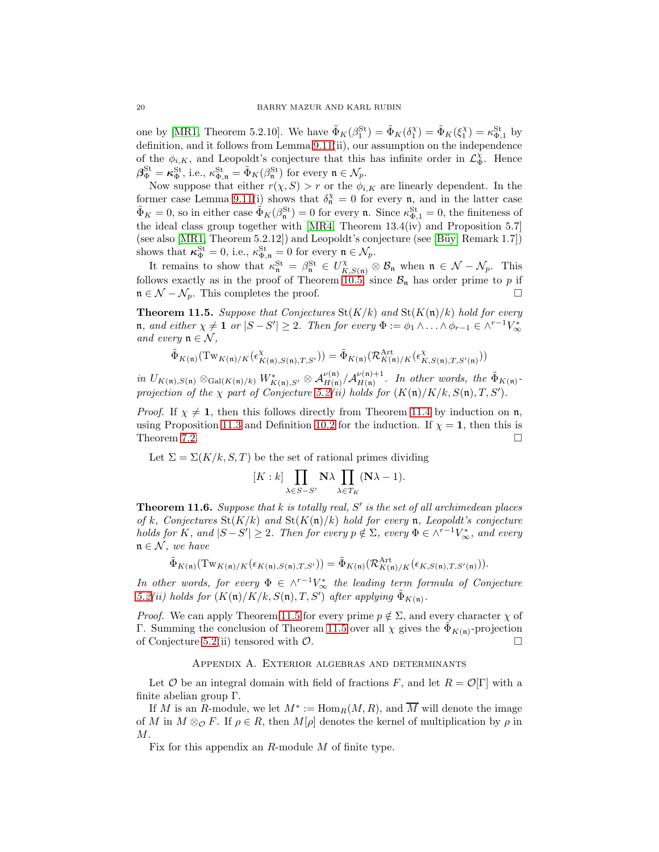one by [\[MR1,](#page-21-6) Theorem 5.2.10]. We have  $\tilde{\Phi}_K(\beta_1^{\text{St}}) = \tilde{\Phi}_K(\delta_1^{\text{X}}) = \tilde{\Phi}_K(\xi_1^{\text{X}}) = \kappa_{\Phi,1}^{\text{St}}$  by definition, and it follows from Lemma 9.11(ii), our assumption on the independence of the  $\phi_{i,K}$ , and Leopoldt's conjecture that this has infinite order in  $\mathcal{L}_{\Phi}^{\chi}$ . Hence  $\beta_{\Phi}^{\text{St}} = \kappa_{\Phi}^{\text{St}}$ , i.e.,  $\kappa_{\Phi,\mathfrak{n}}^{\text{St}} = \tilde{\Phi}_{K}(\beta_{\mathfrak{n}}^{\text{St}})$  for every  $\mathfrak{n} \in \mathcal{N}_{p}$ .

Now suppose that either  $r(\chi, S) > r$  or the  $\phi_{i,K}$  are linearly dependent. In the former case Lemma 9.11(i) shows that  $\delta_n^{\chi} = 0$  for every n, and in the latter case  $\tilde{\Phi}_K = 0$ , so in either case  $\tilde{\Phi}_K(\beta_n^{\text{St}}) = 0$  for every **n**. Since  $\kappa_{\Phi,1}^{\text{St}} = 0$ , the finiteness of the ideal class group together with [\[MR4,](#page-21-9) Theorem 13.4(iv) and Proposition 5.7] (see also  $[MR1, Theorem 5.2.12]$ ) and Leopoldt's conjecture (see  $[Biiy, Remark 1.7]$ ) shows that  $\kappa_{\Phi}^{\text{St}} = 0$ , i.e.,  $\kappa_{\Phi,\mathfrak{n}}^{\text{St}} = 0$  for every  $\mathfrak{n} \in \mathcal{N}_p$ .

It remains to show that  $\kappa_n^{\text{St}} = \beta_n^{\text{St}} \in U_{K,S(n)}^{\chi} \otimes \mathcal{B}_n$  when  $\mathfrak{n} \in \mathcal{N} - \mathcal{N}_p$ . This follows exactly as in the proof of Theorem [10.5,](#page-16-0) since  $\mathcal{B}_n$  has order prime to p if  $n \in \mathcal{N} - \mathcal{N}_p$ . This completes the proof.

<span id="page-19-1"></span>**Theorem 11.5.** Suppose that Conjectures  $\text{St}(K/k)$  and  $\text{St}(K(\mathfrak{n})/k)$  hold for every  $\mathfrak{n},$  and either  $\chi \neq \mathbf{1}$  or  $|S - S'| \geq 2$ . Then for every  $\Phi := \phi_1 \wedge \ldots \wedge \phi_{r-1} \in \wedge^{r-1} V^*_{\infty}$ *and every*  $\mathfrak{n} \in \mathcal{N}$ ,

$$
\tilde{\Phi}_{K(\mathfrak{n})}(\mathrm{Tw}_{K(\mathfrak{n})/K}(\epsilon^{\chi}_{K(\mathfrak{n}),S(\mathfrak{n}),T,S'})) = \tilde{\Phi}_{K(\mathfrak{n})}(\mathcal{R}_{K(\mathfrak{n})/K}^{\mathrm{Art}}(\epsilon^{\chi}_{K,S(\mathfrak{n}),T,S'(\mathfrak{n})}))
$$

*in*  $U_{K(\mathfrak{n}),S(\mathfrak{n})} \otimes_{\mathrm{Gal}(K(\mathfrak{n})/k)} W^*_{K(\mathfrak{n}),S'} \otimes \mathcal{A}_{H(\mathfrak{n})}^{\nu(\mathfrak{n})}/\mathcal{A}_{H(\mathfrak{n})}^{\nu(\mathfrak{n})+1}$  $\frac{\partial \nu(\mathfrak{n})+1}{\partial H(\mathfrak{n})}$ . In other words, the  $\tilde{\Phi}_{K(\mathfrak{n})}$ *projection of the*  $\chi$  *part of Conjecture* [5.2\(](#page-6-1)*ii*) holds for  $(K(\mathfrak{n})/K/k, S(\mathfrak{n}), T, S')$ .

*Proof.* If  $\chi \neq 1$ , then this follows directly from Theorem [11.4](#page-18-1) by induction on n, using Proposition [11.3](#page-18-2) and Definition [10.2](#page-16-2) for the induction. If  $\chi = 1$ , then this is Theorem [7.2.](#page-10-5)  $\Box$ 

Let  $\Sigma = \Sigma(K/k, S, T)$  be the set of rational primes dividing

$$
[K:k] \prod_{\lambda \in S-S'} \mathbf{N} \lambda \prod_{\lambda \in T_K} (\mathbf{N} \lambda - 1).
$$

Theorem 11.6. *Suppose that* k *is totally real,* S ′ *is the set of all archimedean places of* k, Conjectures  $\text{St}(K/k)$  and  $\text{St}(K(\mathfrak{n})/k)$  hold for every **n**, Leopoldt's conjecture *holds for* K, and  $|S - S'| \geq 2$ . Then for every  $p \notin \Sigma$ , every  $\Phi \in \wedge^{r-1}V^*_{\infty}$ , and every  $\mathfrak{n} \in \mathcal{N}$ *, we have* 

$$
\tilde{\Phi}_{K(\mathfrak{n})}(\mathrm{Tw}_{K(\mathfrak{n})/K}(\epsilon_{K(\mathfrak{n}),S(\mathfrak{n}),T,S'})) = \tilde{\Phi}_{K(\mathfrak{n})}(\mathcal{R}_{K(\mathfrak{n})/K}^{\mathrm{Art}}(\epsilon_{K,S(\mathfrak{n}),T,S'(\mathfrak{n})})).
$$

*In other words, for every*  $\Phi \in \wedge^{r-1}V^*_{\infty}$  *the leading term formula of Conjecture*  $5.2(ii)$  $5.2(ii)$  holds for  $(K(\mathfrak{n})/K/k, S(\mathfrak{n}), T, S')$  after applying  $\tilde{\Phi}_{K(\mathfrak{n})}$ .

*Proof.* We can apply Theorem [11.5](#page-19-1) for every prime  $p \notin \Sigma$ , and every character  $\chi$  of Γ. Summing the conclusion of Theorem [11.5](#page-19-1) over all  $\chi$  gives the  $\tilde{\Phi}_{K(n)}$ -projection of Conjecture [5.2\(](#page-6-1)ii) tensored with  $\mathcal{O}$ .

#### Appendix A. Exterior algebras and determinants

<span id="page-19-0"></span>Let O be an integral domain with field of fractions F, and let  $R = \mathcal{O}[\Gamma]$  with a finite abelian group Γ.

If M is an R-module, we let  $M^* := \text{Hom}_R(M, R)$ , and  $\overline{M}$  will denote the image of M in  $M \otimes_{\mathcal{O}} F$ . If  $\rho \in R$ , then  $M[\rho]$  denotes the kernel of multiplication by  $\rho$  in M.

Fix for this appendix an R-module M of finite type.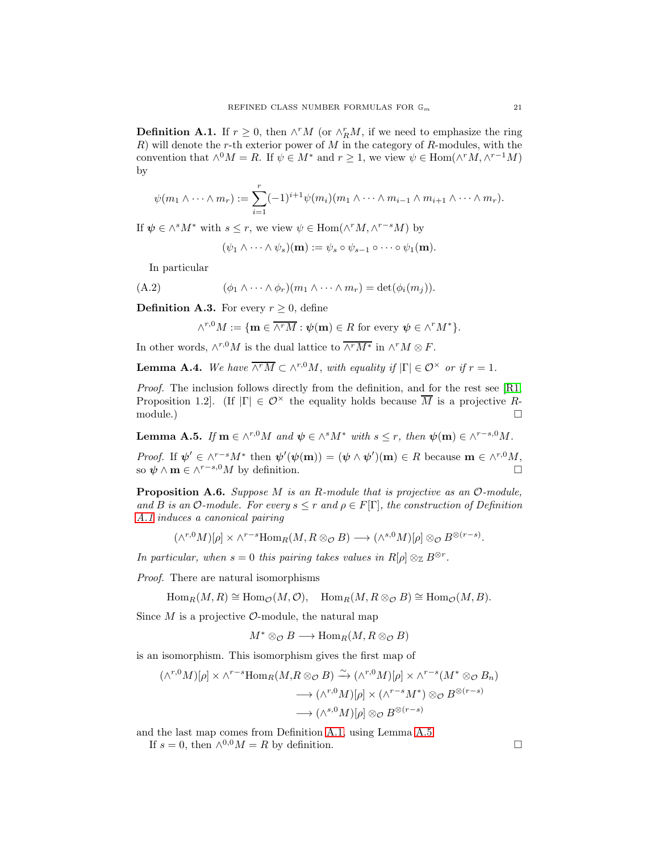<span id="page-20-4"></span>**Definition A.1.** If  $r \geq 0$ , then  $\wedge^r M$  (or  $\wedge_R^r M$ , if we need to emphasize the ring  $R$ ) will denote the r-th exterior power of  $M$  in the category of  $R$ -modules, with the convention that  $\wedge^0 M = R$ . If  $\psi \in M^*$  and  $r \geq 1$ , we view  $\psi \in \text{Hom}(\wedge^r M, \wedge^{r-1} M)$ by

$$
\psi(m_1 \wedge \cdots \wedge m_r) := \sum_{i=1}^r (-1)^{i+1} \psi(m_i) (m_1 \wedge \cdots \wedge m_{i-1} \wedge m_{i+1} \wedge \cdots \wedge m_r).
$$

If  $\psi \in \wedge^s M^*$  with  $s \leq r$ , we view  $\psi \in \text{Hom}(\wedge^r M, \wedge^{r-s} M)$  by

<span id="page-20-2"></span>
$$
(\psi_1 \wedge \cdots \wedge \psi_s)(\mathbf{m}) := \psi_s \circ \psi_{s-1} \circ \cdots \circ \psi_1(\mathbf{m}).
$$

In particular

(A.2) 
$$
(\phi_1 \wedge \cdots \wedge \phi_r)(m_1 \wedge \cdots \wedge m_r) = \det(\phi_i(m_j)).
$$

<span id="page-20-0"></span>**Definition A.3.** For every  $r \geq 0$ , define

$$
\wedge^{r,0}M:=\{\mathbf{m}\in\overline{\wedge^rM}:\boldsymbol{\psi}(\mathbf{m})\in R\text{ for every }\boldsymbol{\psi}\in\wedge^rM^*\}.
$$

In other words,  $\wedge^{r,0}M$  is the dual lattice to  $\overline{\wedge^rM^*}$  in  $\wedge^rM \otimes F$ .

<span id="page-20-3"></span>**Lemma A.4.** *We have*  $\overline{\wedge^r M} \subset \wedge^{r,0} M$ *, with equality if*  $|\Gamma| \in \mathcal{O}^\times$  *or if*  $r = 1$ *.* 

*Proof.* The inclusion follows directly from the definition, and for the rest see [\[R1,](#page-21-10) Proposition 1.2. (If  $|\Gamma| \in \mathcal{O}^\times$  the equality holds because  $\overline{M}$  is a projective R- $\Box$  module.)  $\Box$ 

<span id="page-20-5"></span>**Lemma A.5.** *If*  $\mathbf{m} \in \wedge^{r,0}M$  *and*  $\boldsymbol{\psi} \in \wedge^s M^*$  *with*  $s \leq r$ *, then*  $\boldsymbol{\psi}(\mathbf{m}) \in \wedge^{r-s,0}M$ *.* 

*Proof.* If  $\psi' \in \wedge^{r-s}M^*$  then  $\psi'(\psi(\mathbf{m})) = (\psi \wedge \psi')(\mathbf{m}) \in R$  because  $\mathbf{m} \in \wedge^{r,0}M$ , so  $\psi \wedge \mathbf{m} \in \wedge^{r-s,0}M$  by definition.

<span id="page-20-1"></span>Proposition A.6. *Suppose* M *is an* R*-module that is projective as an* O*-module, and B is an*  $\mathcal{O}\text{-}module.$  *For every*  $s \leq r$  *and*  $\rho \in F[\Gamma]$ *, the construction of Definition [A.1](#page-20-4) induces a canonical pairing*

$$
(\wedge^{r,0}M)[\rho] \times \wedge^{r-s} \text{Hom}_R(M, R \otimes_{\mathcal{O}} B) \longrightarrow (\wedge^{s,0}M)[\rho] \otimes_{\mathcal{O}} B^{\otimes (r-s)}.
$$

*In particular, when*  $s = 0$  *this pairing takes values in*  $R[\rho] \otimes_{\mathbb{Z}} B^{\otimes r}$ *.* 

*Proof.* There are natural isomorphisms

$$
\operatorname{Hom}_R(M,R) \cong \operatorname{Hom}_{\mathcal{O}}(M,\mathcal{O}), \quad \operatorname{Hom}_R(M,R \otimes_{\mathcal{O}} B) \cong \operatorname{Hom}_{\mathcal{O}}(M,B).
$$

Since  $M$  is a projective  $\mathcal{O}$ -module, the natural map

$$
M^* \otimes_{\mathcal{O}} B \longrightarrow \text{Hom}_R(M, R \otimes_{\mathcal{O}} B)
$$

is an isomorphism. This isomorphism gives the first map of

$$
(\wedge^{r,0}M)[\rho] \times \wedge^{r-s} \text{Hom}_R(M, R \otimes_{\mathcal{O}} B) \xrightarrow{\sim} (\wedge^{r,0}M)[\rho] \times \wedge^{r-s}(M^* \otimes_{\mathcal{O}} B_n)
$$

$$
\longrightarrow (\wedge^{r,0}M)[\rho] \times (\wedge^{r-s}M^*) \otimes_{\mathcal{O}} B^{\otimes (r-s)}
$$

$$
\longrightarrow (\wedge^{s,0}M)[\rho] \otimes_{\mathcal{O}} B^{\otimes (r-s)}
$$

and the last map comes from Definition [A.1,](#page-20-4) using Lemma [A.5.](#page-20-5)

If  $s = 0$ , then  $\wedge^{0,0} M = R$  by definition.